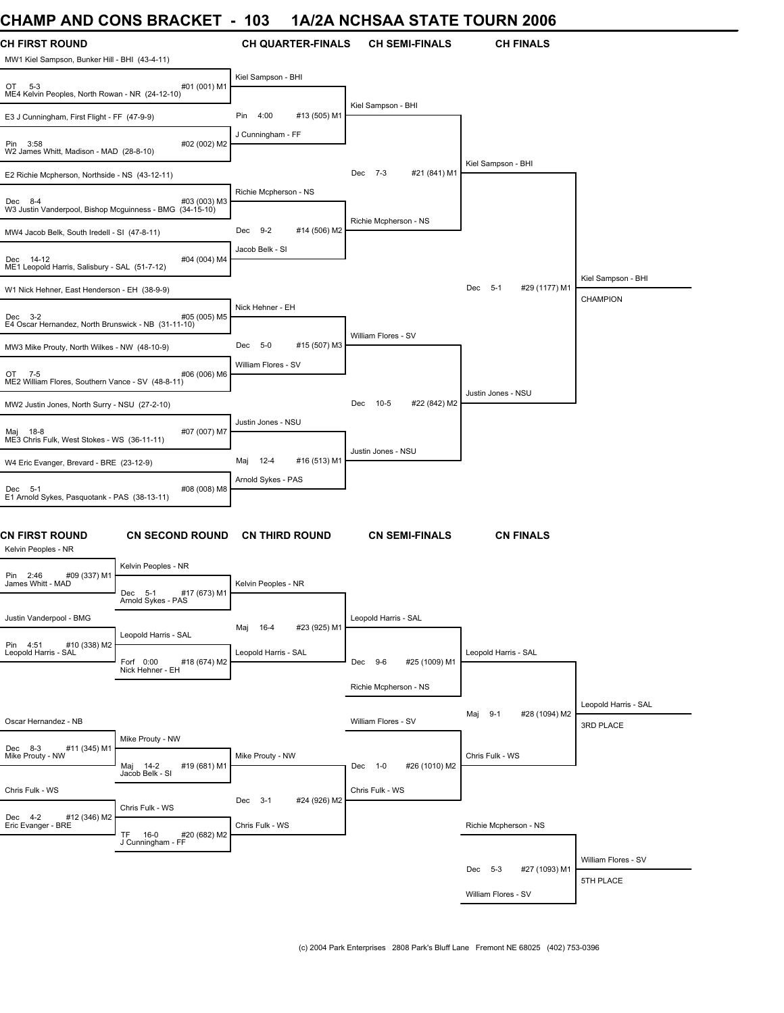### **CHAMP AND CONS BRACKET - 103 1A/2A NCHSAA STATE TOURN 2006**

| <b>CH FIRST ROUND</b><br>MW1 Kiel Sampson, Bunker Hill - BHI (43-4-11) |                                                                       | <b>CH QUARTER-FINALS</b>        | <b>CH SEMI-FINALS</b>       | <b>CH FINALS</b>              |                                   |
|------------------------------------------------------------------------|-----------------------------------------------------------------------|---------------------------------|-----------------------------|-------------------------------|-----------------------------------|
| OT 5-3<br>ME4 Kelvin Peoples, North Rowan - NR (24-12-10)              | #01 (001) M1                                                          | Kiel Sampson - BHI              |                             |                               |                                   |
| E3 J Cunningham, First Flight - FF (47-9-9)                            |                                                                       | 4:00<br>#13 (505) M1<br>Pin     | Kiel Sampson - BHI          |                               |                                   |
| Pin 3:58<br>W2 James Whitt, Madison - MAD (28-8-10)                    | #02 (002) M2                                                          | J Cunningham - FF               |                             |                               |                                   |
| E2 Richie Mcpherson, Northside - NS (43-12-11)                         |                                                                       |                                 | Dec 7-3<br>#21 (841) M1     | Kiel Sampson - BHI            |                                   |
| Dec 8-4<br>W3 Justin Vanderpool, Bishop Mcguinness - BMG (34-15-10)    | #03 (003) M3                                                          | Richie Mcpherson - NS           |                             |                               |                                   |
| MW4 Jacob Belk, South Iredell - SI (47-8-11)                           |                                                                       | Dec<br>$9-2$<br>#14 (506) M2    | Richie Mcpherson - NS       |                               |                                   |
| Dec 14-12<br>ME1 Leopold Harris, Salisbury - SAL (51-7-12)             | #04 (004) M4                                                          | Jacob Belk - SI                 |                             |                               |                                   |
| W1 Nick Hehner, East Henderson - EH (38-9-9)                           |                                                                       |                                 |                             | Dec 5-1<br>#29 (1177) M1      | Kiel Sampson - BHI<br>CHAMPION    |
| Dec 3-2<br>E4 Oscar Hernandez, North Brunswick - NB (31-11-10)         | #05 (005) M5                                                          | Nick Hehner - EH                |                             |                               |                                   |
| MW3 Mike Prouty, North Wilkes - NW (48-10-9)                           |                                                                       | #15 (507) M3<br>Dec 5-0         | William Flores - SV         |                               |                                   |
| OT 7-5<br>ME2 William Flores, Southern Vance - SV (48-8-11)            | #06 (006) M6                                                          | William Flores - SV             |                             |                               |                                   |
| MW2 Justin Jones, North Surry - NSU (27-2-10)                          |                                                                       |                                 | 10-5<br>#22 (842) M2<br>Dec | Justin Jones - NSU            |                                   |
| Maj 18-8<br>ME3 Chris Fulk, West Stokes - WS (36-11-11)                | #07 (007) M7                                                          | Justin Jones - NSU              |                             |                               |                                   |
| W4 Eric Evanger, Brevard - BRE (23-12-9)                               |                                                                       | $12 - 4$<br>#16 (513) M1<br>Maj | Justin Jones - NSU          |                               |                                   |
| Dec 5-1<br>E1 Arnold Sykes, Pasquotank - PAS (38-13-11)                | #08 (008) M8                                                          | Arnold Sykes - PAS              |                             |                               |                                   |
| <b>CN FIRST ROUND</b><br>Kelvin Peoples - NR                           | <b>CN SECOND ROUND</b>                                                | <b>CN THIRD ROUND</b>           | <b>CN SEMI-FINALS</b>       | <b>CN FINALS</b>              |                                   |
| #09 (337) M1<br>Pin 2:46                                               | Kelvin Peoples - NR                                                   |                                 |                             |                               |                                   |
| James Whitt - MAD                                                      | #17 (673) M1<br>Dec 5-1<br>Arnold Sykes - PAS                         | Kelvin Peoples - NR             |                             |                               |                                   |
| Justin Vanderpool - BMG                                                | Leopold Harris - SAL                                                  | #23 (925) M1<br>16-4<br>Maj     | Leopold Harris - SAL        |                               |                                   |
| #10 (338) M2<br>Pin 4:51<br>Leopold Harris - SAL                       | Forf 0:00<br>#18 (674) M2<br>Nick Hehner - EH                         | Leopold Harris - SAL            | Dec 9-6<br>#25 (1009) M1    | Leopold Harris - SAL          |                                   |
|                                                                        |                                                                       |                                 | Richie Mcpherson - NS       |                               |                                   |
| Oscar Hernandez - NB                                                   |                                                                       |                                 | William Flores - SV         | #28 (1094) M2<br>Maj<br>$9-1$ | Leopold Harris - SAL<br>3RD PLACE |
| Dec 8-3<br>#11 (345) M1                                                | Mike Prouty - NW                                                      |                                 |                             |                               |                                   |
| Mike Prouty - NW                                                       | Maj 14-2<br>Jacob Belk - SI<br>#19 (681) M1                           | Mike Prouty - NW                | #26 (1010) M2<br>Dec 1-0    | Chris Fulk - WS               |                                   |
| Chris Fulk - WS                                                        |                                                                       | #24 (926) M2<br>Dec 3-1         | Chris Fulk - WS             |                               |                                   |
| Dec 4-2<br>#12 (346) M2<br>Eric Evanger - BRE                          | Chris Fulk - WS<br>TF.<br>$16-0$<br>#20 (682) M2<br>J Cunningham - FF | Chris Fulk - WS                 |                             | Richie Mcpherson - NS         |                                   |
|                                                                        |                                                                       |                                 |                             |                               | William Flores - SV               |
|                                                                        |                                                                       |                                 |                             | #27 (1093) M1<br>Dec 5-3      | 5TH PLACE                         |
|                                                                        |                                                                       |                                 |                             | William Flores - SV           |                                   |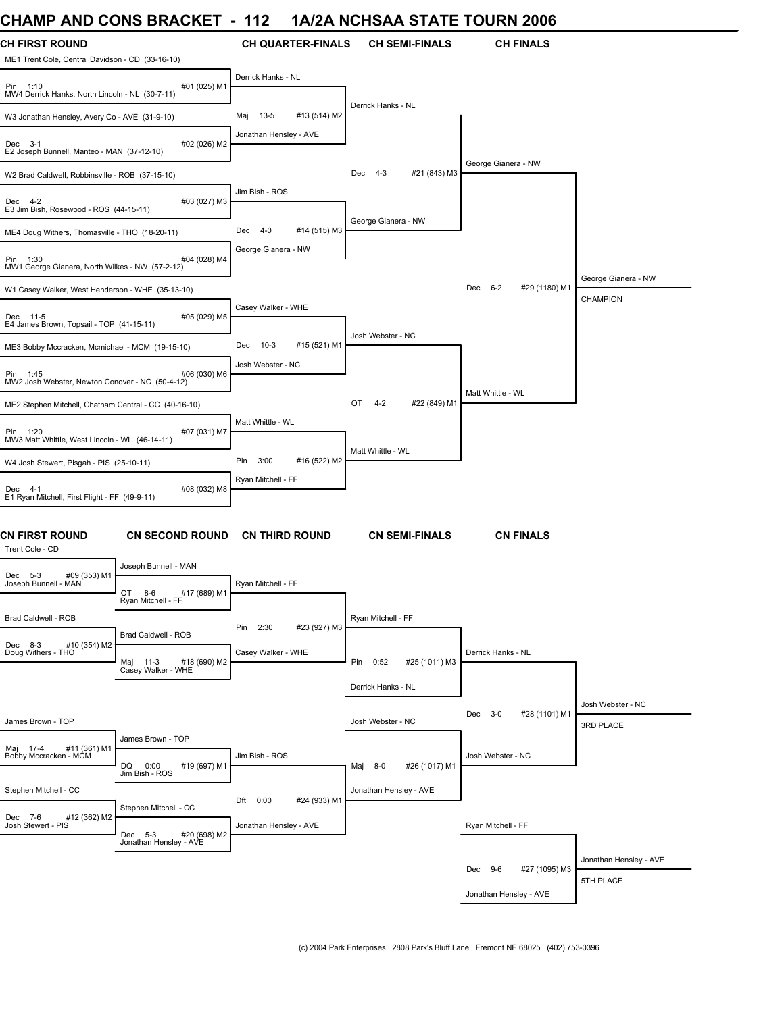# **CHAMP AND CONS BRACKET - 112 1A/2A NCHSAA STATE TOURN 2006**

| <b>CH FIRST ROUND</b><br>ME1 Trent Cole, Central Davidson - CD (33-16-10)                                                           | <b>CH QUARTER-FINALS</b>      | <b>CH SEMI-FINALS</b>     | <b>CH FINALS</b>         |                                |
|-------------------------------------------------------------------------------------------------------------------------------------|-------------------------------|---------------------------|--------------------------|--------------------------------|
| #01 (025) M1<br>Pin 1:10<br>MW4 Derrick Hanks, North Lincoln - NL (30-7-11)                                                         | Derrick Hanks - NL            |                           |                          |                                |
| W3 Jonathan Hensley, Avery Co - AVE (31-9-10)                                                                                       | $13-5$<br>#13 (514) M2<br>Maj | Derrick Hanks - NL        |                          |                                |
| #02 (026) M2<br>Dec 3-1<br>E2 Joseph Bunnell, Manteo - MAN (37-12-10)                                                               | Jonathan Hensley - AVE        |                           |                          |                                |
| W2 Brad Caldwell, Robbinsville - ROB (37-15-10)                                                                                     |                               | Dec 4-3<br>#21 (843) M3   | George Gianera - NW      |                                |
| Dec 4-2<br>#03 (027) M3<br>E3 Jim Bish, Rosewood - ROS (44-15-11)                                                                   | Jim Bish - ROS                |                           |                          |                                |
| ME4 Doug Withers, Thomasville - THO (18-20-11)                                                                                      | Dec<br>4-0<br>#14 (515) M3    | George Gianera - NW       |                          |                                |
| Pin 1:30<br>#04 (028) M4<br>MW1 George Gianera, North Wilkes - NW (57-2-12)                                                         | George Gianera - NW           |                           |                          |                                |
| W1 Casey Walker, West Henderson - WHE (35-13-10)                                                                                    |                               |                           | Dec 6-2<br>#29 (1180) M1 | George Gianera - NW            |
| #05 (029) M5<br>Dec 11-5<br>E4 James Brown, Topsail - TOP (41-15-11)                                                                | Casey Walker - WHE            |                           |                          | <b>CHAMPION</b>                |
| ME3 Bobby Mccracken, Mcmichael - MCM (19-15-10)                                                                                     | Dec<br>$10-3$<br>#15 (521) M1 | Josh Webster - NC         |                          |                                |
| #06 (030) M6<br>Pin 1:45<br>MW2 Josh Webster, Newton Conover - NC (50-4-12)                                                         | Josh Webster - NC             |                           |                          |                                |
| ME2 Stephen Mitchell, Chatham Central - CC (40-16-10)                                                                               |                               | OT<br>4-2<br>#22 (849) M1 | Matt Whittle - WL        |                                |
|                                                                                                                                     | Matt Whittle - WL             |                           |                          |                                |
| Pin 1:20<br>#07 (031) M7<br>MW3 Matt Whittle, West Lincoln - WL (46-14-11)                                                          |                               |                           |                          |                                |
| W4 Josh Stewert, Pisgah - PIS (25-10-11)                                                                                            | Pin<br>3:00<br>#16 (522) M2   | Matt Whittle - WL         |                          |                                |
| #08 (032) M8<br>Dec 4-1<br>E1 Ryan Mitchell, First Flight - FF (49-9-11)                                                            | Ryan Mitchell - FF            |                           |                          |                                |
| <b>CN FIRST ROUND</b><br><b>CN SECOND ROUND</b><br>Trent Cole - CD                                                                  | <b>CN THIRD ROUND</b>         | <b>CN SEMI-FINALS</b>     | <b>CN FINALS</b>         |                                |
| Joseph Bunnell - MAN<br>#09 (353) M1<br>Dec 5-3                                                                                     |                               |                           |                          |                                |
| Joseph Bunnell - MAN<br>OT<br>8-6<br>#17 (689) M1<br>Ryan Mitchell - FF                                                             | Ryan Mitchell - FF            |                           |                          |                                |
| Brad Caldwell - ROB                                                                                                                 | #23 (927) M3<br>Pin 2:30      | Ryan Mitchell - FF        |                          |                                |
| Brad Caldwell - ROB<br>#10 (354) M2<br>Dec 8-3<br>Doug Withers - THO<br>#18 (690) M2<br>Maj 11-3<br>Casey Walker - WHE              | Casey Walker - WHE            | Pin 0:52<br>#25 (1011) M3 | Derrick Hanks - NL       |                                |
|                                                                                                                                     |                               | Derrick Hanks - NL        |                          |                                |
| James Brown - TOP                                                                                                                   |                               | Josh Webster - NC         | Dec 3-0<br>#28 (1101) M1 | Josh Webster - NC<br>3RD PLACE |
| James Brown - TOP                                                                                                                   |                               |                           |                          |                                |
| Maj 17-4 #11 (361) M1<br>Bobby Mccracken - MCM<br>#19 (697) M1<br>Jim Bish - ROS                                                    | Jim Bish - ROS                | Maj 8-0<br>#26 (1017) M1  | Josh Webster - NC        |                                |
| Stephen Mitchell - CC                                                                                                               | #24 (933) M1<br>Dft 0:00      | Jonathan Hensley - AVE    |                          |                                |
| Stephen Mitchell - CC<br>Dec 7-6<br>#12 (362) M2<br>Josh Stewert - PIS<br>Dec 5-3 #20 (69<br>Jonathan Hensley - AVE<br>#20 (698) M2 | Jonathan Hensley - AVE        |                           | Ryan Mitchell - FF       |                                |
|                                                                                                                                     |                               |                           |                          | Jonathan Hensley - AVE         |
|                                                                                                                                     |                               |                           | Dec 9-6<br>#27 (1095) M3 | 5TH PLACE                      |
|                                                                                                                                     |                               |                           | Jonathan Hensley - AVE   |                                |
|                                                                                                                                     |                               |                           |                          |                                |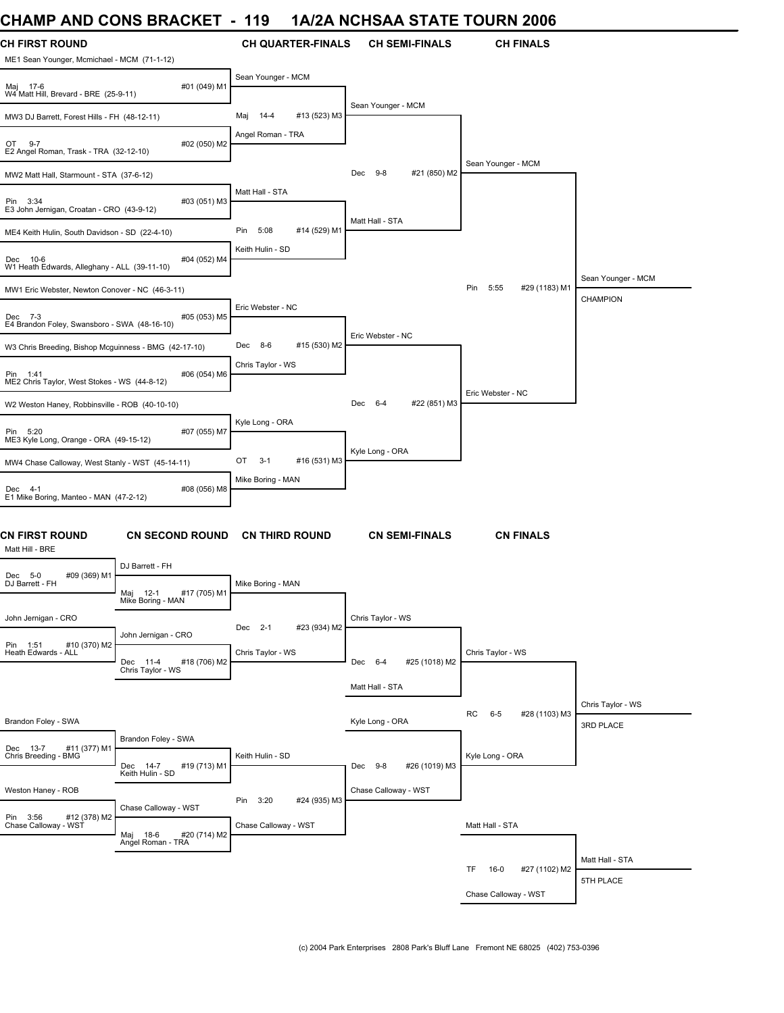# **CHAMP AND CONS BRACKET - 119 1A/2A NCHSAA STATE TOURN 2006**

| <b>CH FIRST ROUND</b>                                    |                                                   | <b>CH QUARTER-FINALS</b>    | <b>CH SEMI-FINALS</b>    | <b>CH FINALS</b>               |                    |
|----------------------------------------------------------|---------------------------------------------------|-----------------------------|--------------------------|--------------------------------|--------------------|
| ME1 Sean Younger, Mcmichael - MCM (71-1-12)              |                                                   | Sean Younger - MCM          |                          |                                |                    |
| Maj 17-6<br>W4 Matt Hill, Brevard - BRE (25-9-11)        | #01 (049) M1                                      |                             |                          |                                |                    |
| MW3 DJ Barrett, Forest Hills - FH (48-12-11)             |                                                   | #13 (523) M3<br>Maj 14-4    | Sean Younger - MCM       |                                |                    |
| OT 9-7<br>E2 Angel Roman, Trask - TRA (32-12-10)         | #02 (050) M2                                      | Angel Roman - TRA           |                          |                                |                    |
| MW2 Matt Hall, Starmount - STA (37-6-12)                 |                                                   |                             | Dec 9-8<br>#21 (850) M2  | Sean Younger - MCM             |                    |
| Pin 3:34<br>E3 John Jernigan, Croatan - CRO (43-9-12)    | #03 (051) M3                                      | Matt Hall - STA             |                          |                                |                    |
| ME4 Keith Hulin, South Davidson - SD (22-4-10)           |                                                   | Pin<br>5:08<br>#14 (529) M1 | Matt Hall - STA          |                                |                    |
| Dec 10-6<br>W1 Heath Edwards, Alleghany - ALL (39-11-10) | #04 (052) M4                                      | Keith Hulin - SD            |                          |                                |                    |
| MW1 Eric Webster, Newton Conover - NC (46-3-11)          |                                                   |                             |                          | #29 (1183) M1<br>Pin 5:55      | Sean Younger - MCM |
| Dec 7-3<br>E4 Brandon Foley, Swansboro - SWA (48-16-10)  | #05 (053) M5                                      | Eric Webster - NC           |                          |                                | <b>CHAMPION</b>    |
| W3 Chris Breeding, Bishop Mcguinness - BMG (42-17-10)    |                                                   | Dec 8-6<br>#15 (530) M2     | Eric Webster - NC        |                                |                    |
| Pin 1:41<br>ME2 Chris Taylor, West Stokes - WS (44-8-12) | #06 (054) M6                                      | Chris Taylor - WS           |                          |                                |                    |
| W2 Weston Haney, Robbinsville - ROB (40-10-10)           |                                                   |                             | Dec 6-4<br>#22 (851) M3  | Eric Webster - NC              |                    |
| Pin 5:20<br>ME3 Kyle Long, Orange - ORA (49-15-12)       | #07 (055) M7                                      | Kyle Long - ORA             |                          |                                |                    |
| MW4 Chase Calloway, West Stanly - WST (45-14-11)         |                                                   | #16 (531) M3<br>OT<br>$3-1$ | Kyle Long - ORA          |                                |                    |
| Dec 4-1<br>E1 Mike Boring, Manteo - MAN (47-2-12)        | #08 (056) M8                                      | Mike Boring - MAN           |                          |                                |                    |
| <b>CN FIRST ROUND</b><br>Matt Hill - BRE                 | <b>CN SECOND ROUND</b>                            | <b>CN THIRD ROUND</b>       | <b>CN SEMI-FINALS</b>    | <b>CN FINALS</b>               |                    |
| Dec 5-0<br>#09 (369) M1                                  | DJ Barrett - FH                                   |                             |                          |                                |                    |
| DJ Barrett - FH                                          | #17 (705) M1<br>Maj 12-1<br>Mike Boring - MAN     | Mike Boring - MAN           |                          |                                |                    |
| John Jernigan - CRO                                      |                                                   | Dec 2-1<br>#23 (934) M2     | Chris Taylor - WS        |                                |                    |
| Pin 1:51<br>#10 (370) M2<br>Heath Edwards - ALL          | John Jernigan - CRO<br>Dec 11-4<br>#18 (706) M2   | Chris Taylor - WS           | Dec 6-4<br>#25 (1018) M2 | Chris Taylor - WS              |                    |
|                                                          | Chris Taylor - WS                                 |                             | Matt Hall - STA          |                                |                    |
|                                                          |                                                   |                             |                          |                                | Chris Taylor - WS  |
| Brandon Foley - SWA                                      |                                                   |                             | Kyle Long - ORA          | RC<br>$6 - 5$<br>#28 (1103) M3 | 3RD PLACE          |
| Dec 13-7<br>#11 (377) M1<br>Chris Breeding - BMG         | Brandon Foley - SWA<br>#19 (713) M1               | Keith Hulin - SD            | Dec 9-8<br>#26 (1019) M3 | Kyle Long - ORA                |                    |
| Weston Haney - ROB                                       | Dec 14-7<br>Keith Hulin - SD                      |                             | Chase Calloway - WST     |                                |                    |
|                                                          | Chase Calloway - WST                              | Pin 3:20<br>#24 (935) M3    |                          |                                |                    |
| Pin 3:56 #12 (378) M2<br>Chase Calloway - WST            | Maj 18-6 #20<br>Angel Roman - TRA<br>#20 (714) M2 | Chase Calloway - WST        |                          | Matt Hall - STA                |                    |
|                                                          |                                                   |                             |                          | TF.<br>$16-0$<br>#27 (1102) M2 | Matt Hall - STA    |
|                                                          |                                                   |                             |                          |                                | 5TH PLACE          |
|                                                          |                                                   |                             |                          | Chase Calloway - WST           |                    |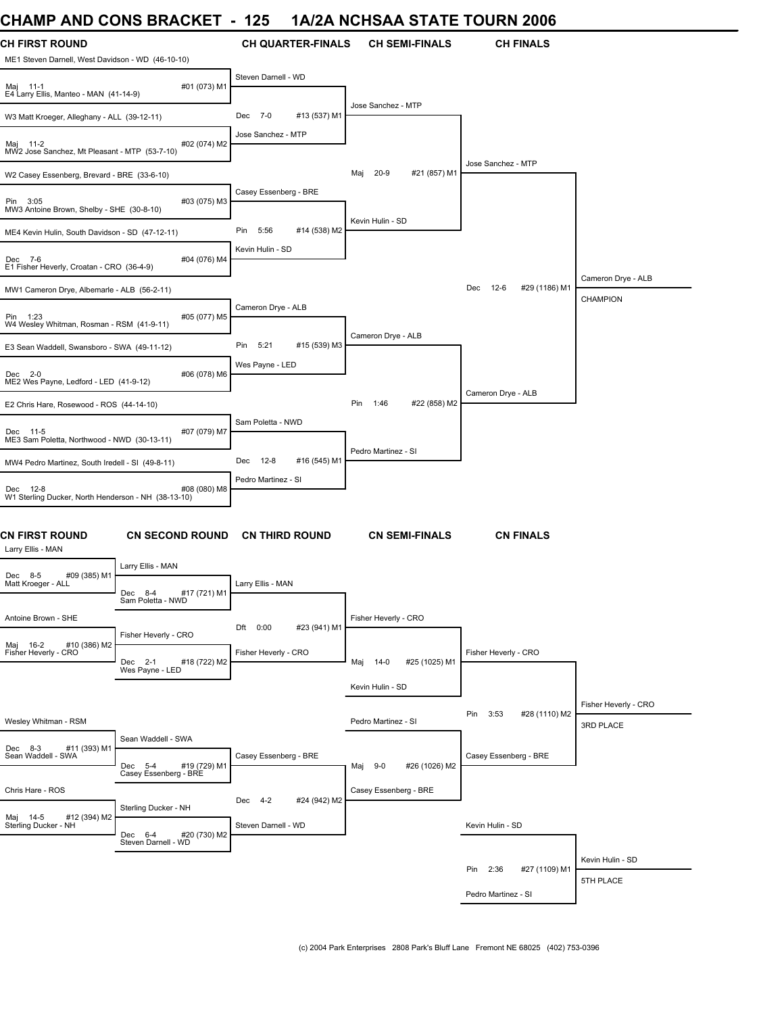### **CHAMP AND CONS BRACKET - 125 1A/2A NCHSAA STATE TOURN 2006**

| ,,,,,,,,,                                                                  | V                                              |                             |                               |                                |                                   |
|----------------------------------------------------------------------------|------------------------------------------------|-----------------------------|-------------------------------|--------------------------------|-----------------------------------|
| <b>CH FIRST ROUND</b><br>ME1 Steven Darnell, West Davidson - WD (46-10-10) |                                                | <b>CH QUARTER-FINALS</b>    | <b>CH SEMI-FINALS</b>         | <b>CH FINALS</b>               |                                   |
| Maj 11-1<br>E4 Larry Ellis, Manteo - MAN (41-14-9)                         | #01 (073) M1                                   | Steven Darnell - WD         |                               |                                |                                   |
| W3 Matt Kroeger, Alleghany - ALL (39-12-11)                                |                                                | #13 (537) M1<br>Dec 7-0     | Jose Sanchez - MTP            |                                |                                   |
| Maj 11-2<br>MW2 Jose Sanchez, Mt Pleasant - MTP (53-7-10)                  | #02 (074) M2                                   | Jose Sanchez - MTP          |                               |                                |                                   |
| W2 Casey Essenberg, Brevard - BRE (33-6-10)                                |                                                |                             | $20-9$<br>#21 (857) M1<br>Maj | Jose Sanchez - MTP             |                                   |
| Pin 3:05<br>MW3 Antoine Brown, Shelby - SHE (30-8-10)                      | #03 (075) M3                                   | Casey Essenberg - BRE       |                               |                                |                                   |
| ME4 Kevin Hulin, South Davidson - SD (47-12-11)                            |                                                | Pin<br>5:56<br>#14 (538) M2 | Kevin Hulin - SD              |                                |                                   |
| Dec 7-6<br>E1 Fisher Heverly, Croatan - CRO (36-4-9)                       | #04 (076) M4                                   | Kevin Hulin - SD            |                               |                                |                                   |
| MW1 Cameron Drye, Albemarle - ALB (56-2-11)                                |                                                |                             |                               | $12-6$<br>#29 (1186) M1<br>Dec | Cameron Drye - ALB                |
| Pin 1:23<br>W4 Wesley Whitman, Rosman - RSM (41-9-11)                      | #05 (077) M5                                   | Cameron Drye - ALB          |                               |                                | <b>CHAMPION</b>                   |
| E3 Sean Waddell, Swansboro - SWA (49-11-12)                                |                                                | Pin 5:21<br>#15 (539) M3    | Cameron Drye - ALB            |                                |                                   |
| Dec 2-0<br>ME2 Wes Payne, Ledford - LED (41-9-12)                          | #06 (078) M6                                   | Wes Payne - LED             |                               |                                |                                   |
| E2 Chris Hare, Rosewood - ROS (44-14-10)                                   |                                                |                             | #22 (858) M2<br>Pin 1:46      | Cameron Drye - ALB             |                                   |
| Dec 11-5<br>ME3 Sam Poletta, Northwood - NWD (30-13-11)                    | #07 (079) M7                                   | Sam Poletta - NWD           |                               |                                |                                   |
| MW4 Pedro Martinez, South Iredell - SI (49-8-11)                           |                                                | Dec<br>12-8<br>#16 (545) M1 | Pedro Martinez - SI           |                                |                                   |
| Dec 12-8<br>W1 Sterling Ducker, North Henderson - NH (38-13-10)            | #08 (080) M8                                   | Pedro Martinez - SI         |                               |                                |                                   |
| <b>CN FIRST ROUND</b><br>Larry Ellis - MAN                                 | <b>CN SECOND ROUND</b>                         | <b>CN THIRD ROUND</b>       | <b>CN SEMI-FINALS</b>         | <b>CN FINALS</b>               |                                   |
| #09 (385) M1<br>Dec 8-5<br>Matt Kroeger - ALL                              | Larry Ellis - MAN                              | Larry Ellis - MAN           |                               |                                |                                   |
| Antoine Brown - SHE                                                        | #17 (721) M1<br>Dec 8-4<br>Sam Poletta - NWD   |                             | Fisher Heverly - CRO          |                                |                                   |
|                                                                            | Fisher Heverly - CRO                           | 0:00<br>#23 (941) M1<br>Dft |                               |                                |                                   |
| Maj 16-2<br>#10 (386) M2<br>Fisher Heverly - CRO                           | #18 (722) M2<br>Dec 2-1<br>Wes Payne - LED     | Fisher Heverly - CRO        | Maj<br>14-0<br>#25 (1025) M1  | Fisher Heverly - CRO           |                                   |
|                                                                            |                                                |                             | Kevin Hulin - SD              |                                |                                   |
| Wesley Whitman - RSM                                                       |                                                |                             | Pedro Martinez - SI           | Pin<br>3:53<br>#28 (1110) M2   | Fisher Heverly - CRO<br>3RD PLACE |
| Dec 8-3<br>#11 (393) M1<br>Sean Waddell - SWA                              | Sean Waddell - SWA<br>Dec 5-4<br>#19 (729) M1  | Casey Essenberg - BRE       | #26 (1026) M2                 | Casey Essenberg - BRE          |                                   |
|                                                                            | Casey Essenberg - BRE                          |                             | Maj 9-0                       |                                |                                   |
| Chris Hare - ROS<br>Maj 14-5<br>#12 (394) M2                               | Sterling Ducker - NH                           | Dec 4-2<br>#24 (942) M2     | Casey Essenberg - BRE         |                                |                                   |
| Sterling Ducker - NH                                                       | Dec 6-4<br>#20 (730) M2<br>Steven Darnell - WD | Steven Darnell - WD         |                               | Kevin Hulin - SD               |                                   |
|                                                                            |                                                |                             |                               | Pin 2:36<br>#27 (1109) M1      | Kevin Hulin - SD                  |
|                                                                            |                                                |                             |                               |                                | 5TH PLACE                         |
|                                                                            |                                                |                             |                               | Pedro Martinez - SI            |                                   |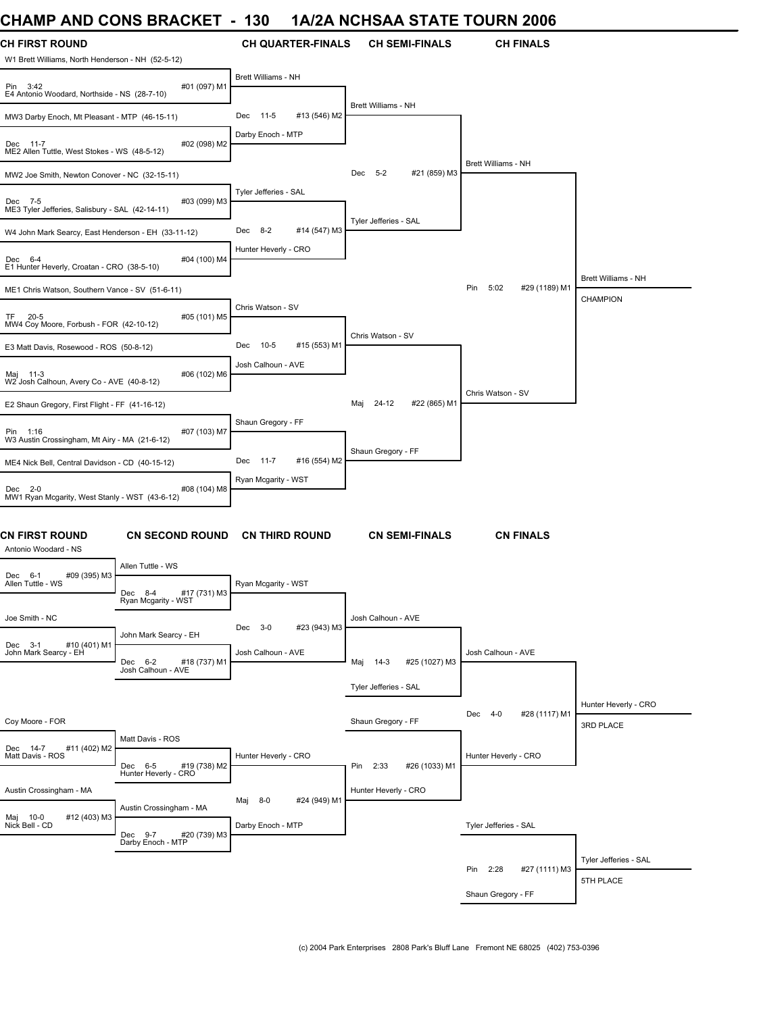# **CHAMP AND CONS BRACKET - 130 1A/2A NCHSAA STATE TOURN 2006**

| <b>CH FIRST ROUND</b><br>W1 Brett Williams, North Henderson - NH (52-5-12) |                                                                        | <b>CH QUARTER-FINALS</b>        | <b>CH SEMI-FINALS</b>          | <b>CH FINALS</b>             |                                        |
|----------------------------------------------------------------------------|------------------------------------------------------------------------|---------------------------------|--------------------------------|------------------------------|----------------------------------------|
| Pin 3:42<br>E4 Antonio Woodard, Northside - NS (28-7-10)                   | #01 (097) M1                                                           | Brett Williams - NH             |                                |                              |                                        |
| MW3 Darby Enoch, Mt Pleasant - MTP (46-15-11)                              |                                                                        | Dec 11-5<br>#13 (546) M2        | <b>Brett Williams - NH</b>     |                              |                                        |
| Dec 11-7<br>ME2 Allen Tuttle, West Stokes - WS (48-5-12)                   | #02 (098) M2                                                           | Darby Enoch - MTP               |                                |                              |                                        |
| MW2 Joe Smith, Newton Conover - NC (32-15-11)                              |                                                                        |                                 | Dec<br>$5 - 2$<br>#21 (859) M3 | Brett Williams - NH          |                                        |
| Dec 7-5<br>ME3 Tyler Jefferies, Salisbury - SAL (42-14-11)                 | #03 (099) M3                                                           | Tyler Jefferies - SAL           |                                |                              |                                        |
| W4 John Mark Searcy, East Henderson - EH (33-11-12)                        |                                                                        | Dec 8-2<br>#14 (547) M3         | Tyler Jefferies - SAL          |                              |                                        |
| Dec 6-4<br>E1 Hunter Heverly, Croatan - CRO (38-5-10)                      | #04 (100) M4                                                           | Hunter Heverly - CRO            |                                |                              |                                        |
| ME1 Chris Watson, Southern Vance - SV (51-6-11)                            |                                                                        |                                 |                                | Pin<br>5:02<br>#29 (1189) M1 | Brett Williams - NH<br><b>CHAMPION</b> |
| $20 - 5$<br>TF.<br>MW4 Coy Moore, Forbush - FOR (42-10-12)                 | #05 (101) M5                                                           | Chris Watson - SV               |                                |                              |                                        |
| E3 Matt Davis, Rosewood - ROS (50-8-12)                                    |                                                                        | #15 (553) M1<br>Dec<br>10-5     | Chris Watson - SV              |                              |                                        |
| Maj 11-3<br>W2 Josh Calhoun, Avery Co - AVE (40-8-12)                      | #06 (102) M6                                                           | Josh Calhoun - AVE              |                                |                              |                                        |
| E2 Shaun Gregory, First Flight - FF (41-16-12)                             |                                                                        |                                 | Maj 24-12<br>#22 (865) M1      | Chris Watson - SV            |                                        |
| Pin 1:16<br>W3 Austin Crossingham, Mt Airy - MA (21-6-12)                  | #07 (103) M7                                                           | Shaun Gregory - FF              |                                |                              |                                        |
| ME4 Nick Bell, Central Davidson - CD (40-15-12)                            |                                                                        | Dec<br>$11 - 7$<br>#16 (554) M2 | Shaun Gregory - FF             |                              |                                        |
| Dec 2-0<br>MW1 Ryan Mcgarity, West Stanly - WST (43-6-12)                  | #08 (104) M8                                                           | Ryan Mcgarity - WST             |                                |                              |                                        |
| <b>CN FIRST ROUND</b><br>Antonio Woodard - NS                              | <b>CN SECOND ROUND</b>                                                 | <b>CN THIRD ROUND</b>           | <b>CN SEMI-FINALS</b>          | <b>CN FINALS</b>             |                                        |
| $6 - 1$<br>#09 (395) M3<br>Dec<br>Allen Tuttle - WS                        | Allen Tuttle - WS<br>#17 (731) M3<br>Dec 8-4                           | Ryan Mcgarity - WST             |                                |                              |                                        |
| Joe Smith - NC                                                             | kyan Mcgarity - WST                                                    | #23 (943) M3<br>Dec 3-0         | Josh Calhoun - AVE             |                              |                                        |
| #10 (401) M1<br>Dec 3-1<br>John Mark Searcy - EH                           | John Mark Searcy - EH<br>#18 (737) M1<br>Dec 6-2<br>Josh Calhoun - AVE | Josh Calhoun - AVE              | Maj 14-3<br>#25 (1027) M3      | Josh Calhoun - AVE           |                                        |
|                                                                            |                                                                        |                                 | Tyler Jefferies - SAL          |                              |                                        |
| Coy Moore - FOR                                                            |                                                                        |                                 | Shaun Gregory - FF             | Dec 4-0<br>#28 (1117) M1     | Hunter Heverly - CRO<br>3RD PLACE      |
| Dec 14-7<br>#11 (402) M2                                                   | Matt Davis - ROS                                                       |                                 |                                |                              |                                        |
| Matt Davis - ROS                                                           | Dec 6-5 #19 (738) M2<br>Hunter Heverly - CRO                           | Hunter Heverly - CRO            | #26 (1033) M1<br>Pin 2:33      | Hunter Heverly - CRO         |                                        |
| Austin Crossingham - MA                                                    |                                                                        | #24 (949) M1<br>Maj<br>$8 - 0$  | Hunter Heverly - CRO           |                              |                                        |
| #12 (403) M3<br>Maj 10-0<br>Nick Bell - CD                                 | Austin Crossingham - MA<br>Dec 9-7<br>#20 (739) M3                     | Darby Enoch - MTP               |                                | Tyler Jefferies - SAL        |                                        |
|                                                                            | Darby Enoch - MTP                                                      |                                 |                                |                              | Tyler Jefferies - SAL                  |
|                                                                            |                                                                        |                                 |                                | Pin 2:28<br>#27 (1111) M3    | 5TH PLACE                              |
|                                                                            |                                                                        |                                 |                                | Shaun Gregory - FF           |                                        |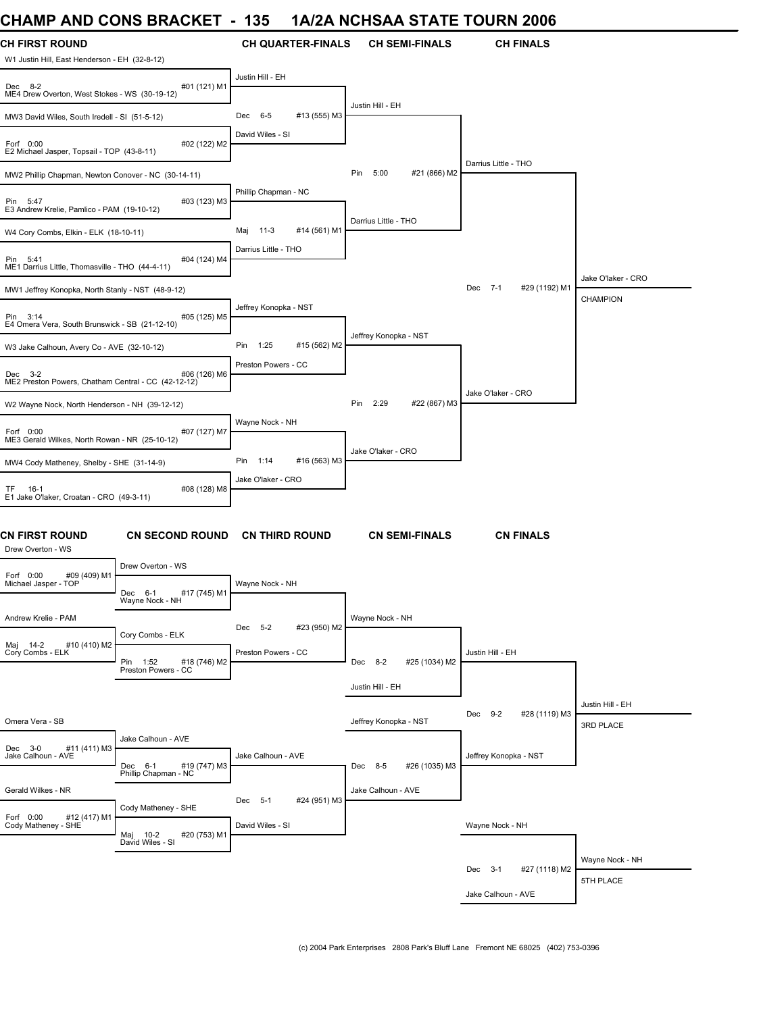### **CHAMP AND CONS BRACKET - 135 1A/2A NCHSAA STATE TOURN 2006**

| UNAIWIY ANU UUNJ DRAUNE I                                              |                                                 | ျပၥ<br>$\blacksquare$       |                          | <u>IAIZA NUNJAA JIAIE TUUKN ZUUD</u> |                          |                               |
|------------------------------------------------------------------------|-------------------------------------------------|-----------------------------|--------------------------|--------------------------------------|--------------------------|-------------------------------|
| <b>CH FIRST ROUND</b><br>W1 Justin Hill, East Henderson - EH (32-8-12) |                                                 |                             | <b>CH QUARTER-FINALS</b> | <b>CH SEMI-FINALS</b>                | <b>CH FINALS</b>         |                               |
| Dec 8-2<br>ME4 Drew Overton, West Stokes - WS (30-19-12)               | #01 (121) M1                                    | Justin Hill - EH            |                          |                                      |                          |                               |
| MW3 David Wiles, South Iredell - SI (51-5-12)                          |                                                 | $6 - 5$<br>Dec              | #13 (555) M3             | Justin Hill - EH                     |                          |                               |
| Forf 0:00<br>E2 Michael Jasper, Topsail - TOP (43-8-11)                | #02 (122) M2                                    | David Wiles - SI            |                          |                                      |                          |                               |
| MW2 Phillip Chapman, Newton Conover - NC (30-14-11)                    |                                                 |                             |                          | Pin<br>5:00<br>#21 (866) M2          | Darrius Little - THO     |                               |
| Pin 5:47<br>E3 Andrew Krelie, Pamlico - PAM (19-10-12)                 | #03 (123) M3                                    | Phillip Chapman - NC        |                          |                                      |                          |                               |
| W4 Cory Combs, Elkin - ELK (18-10-11)                                  |                                                 | $11-3$<br>Maj               | #14 (561) M1             | Darrius Little - THO                 |                          |                               |
| Pin 5:41<br>ME1 Darrius Little, Thomasville - THO (44-4-11)            | #04 (124) M4                                    | Darrius Little - THO        |                          |                                      |                          | Jake O'laker - CRO            |
| MW1 Jeffrey Konopka, North Stanly - NST (48-9-12)                      |                                                 |                             |                          |                                      | Dec 7-1<br>#29 (1192) M1 | <b>CHAMPION</b>               |
| Pin 3:14<br>E4 Omera Vera, South Brunswick - SB (21-12-10)             | #05 (125) M5                                    | Jeffrey Konopka - NST       |                          | Jeffrey Konopka - NST                |                          |                               |
| W3 Jake Calhoun, Avery Co - AVE (32-10-12)                             |                                                 | Pin<br>1:25                 | #15 (562) M2             |                                      |                          |                               |
| Dec 3-2<br>ME2 Preston Powers, Chatham Central - CC (42-12-12)         | #06 (126) M6                                    | Preston Powers - CC         |                          |                                      | Jake O'laker - CRO       |                               |
| W2 Wayne Nock, North Henderson - NH (39-12-12)                         |                                                 |                             |                          | Pin<br>2:29<br>#22 (867) M3          |                          |                               |
| Forf 0:00<br>ME3 Gerald Wilkes, North Rowan - NR (25-10-12)            | #07 (127) M7                                    | Wayne Nock - NH             |                          | Jake O'laker - CRO                   |                          |                               |
| MW4 Cody Matheney, Shelby - SHE (31-14-9)                              |                                                 | Pin 1:14                    | #16 (563) M3             |                                      |                          |                               |
| TF 16-1<br>E1 Jake O'laker, Croatan - CRO (49-3-11)                    | #08 (128) M8                                    | Jake O'laker - CRO          |                          |                                      |                          |                               |
| CN FIRST ROUND<br>Drew Overton - WS                                    | <b>CN SECOND ROUND</b>                          |                             | <b>CN THIRD ROUND</b>    | <b>CN SEMI-FINALS</b>                | <b>CN FINALS</b>         |                               |
| Forf 0:00<br>#09 (409) M1                                              | Drew Overton - WS                               |                             |                          |                                      |                          |                               |
| Michael Jasper - TOP                                                   | Dec 6-1<br>#17 (745) M1<br>Wayne Nock - NH      | Wayne Nock - NH             |                          |                                      |                          |                               |
| Andrew Krelie - PAM                                                    | Cory Combs - ELK                                | Dec 5-2                     | #23 (950) M2             | Wayne Nock - NH                      |                          |                               |
| Maj 14-2 #<br>Cory Combs - ELK<br>#10 (410) M2                         | Pin 1:52<br>#18 (746) M2<br>Preston Powers - CC | Preston Powers - CC         |                          | Dec 8-2<br>#25 (1034) M2             | Justin Hill - EH         |                               |
|                                                                        |                                                 |                             |                          | Justin Hill - EH                     |                          |                               |
| Omera Vera - SB                                                        |                                                 |                             |                          | Jeffrey Konopka - NST                | Dec 9-2<br>#28 (1119) M3 | Justin Hill - EH<br>3RD PLACE |
| Dec 3-0<br>#11 (411) M3<br>Jake Calhoun - AVE                          | Jake Calhoun - AVE<br>#19 (747) M3<br>Dec 6-1   | Jake Calhoun - AVE          |                          | Dec 8-5<br>#26 (1035) M3             | Jeffrey Konopka - NST    |                               |
| Gerald Wilkes - NR                                                     | Phillip Chapman - NC                            |                             |                          | Jake Calhoun - AVE                   |                          |                               |
| Forf 0:00 #12 (417) M1<br>Cody Matheney - SHE                          | Cody Matheney - SHE                             | Dec 5-1<br>David Wiles - SI | #24 (951) M3             |                                      | Wayne Nock - NH          |                               |
|                                                                        | Maj 10-2<br>#20 (753) M1<br>David Wiles - SI    |                             |                          |                                      |                          |                               |
|                                                                        |                                                 |                             |                          |                                      | Dec 3-1<br>#27 (1118) M2 | Wayne Nock - NH               |
|                                                                        |                                                 |                             |                          |                                      | Jake Calhoun - AVE       | 5TH PLACE                     |
|                                                                        |                                                 |                             |                          |                                      |                          |                               |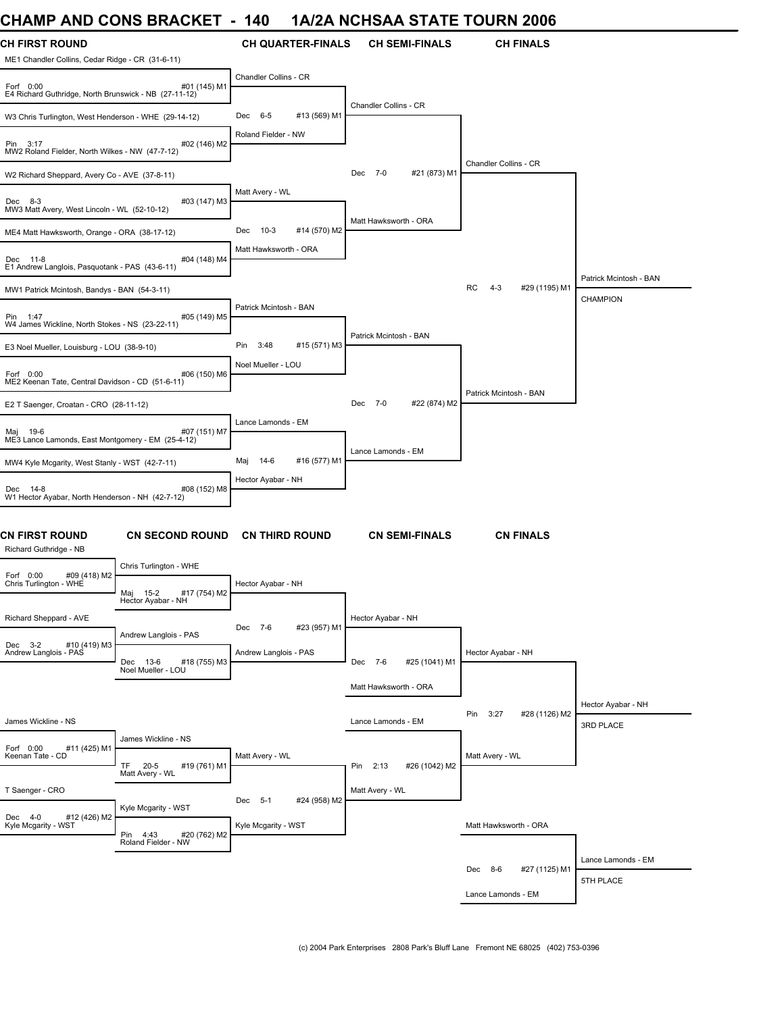### **CHAMP AND CONS BRACKET - 140 1A/2A NCHSAA STATE TOURN 2006**

| <b>CH FIRST ROUND</b><br>ME1 Chandler Collins, Cedar Ridge - CR (31-6-11) |                                                    | <b>CH QUARTER-FINALS</b>      | <b>CH SEMI-FINALS</b>     | <b>CH FINALS</b>               |                        |
|---------------------------------------------------------------------------|----------------------------------------------------|-------------------------------|---------------------------|--------------------------------|------------------------|
| Forf 0:00<br>E4 Richard Guthridge, North Brunswick - NB (27-11-12)        | #01 (145) M1                                       | Chandler Collins - CR         |                           |                                |                        |
| W3 Chris Turlington, West Henderson - WHE (29-14-12)                      |                                                    | #13 (569) M1<br>Dec 6-5       | Chandler Collins - CR     |                                |                        |
| Pin 3:17<br>MW2 Roland Fielder, North Wilkes - NW (47-7-12)               | #02 (146) M2                                       | Roland Fielder - NW           |                           | Chandler Collins - CR          |                        |
| W2 Richard Sheppard, Avery Co - AVE (37-8-11)                             |                                                    |                               | Dec 7-0<br>#21 (873) M1   |                                |                        |
| Dec 8-3<br>MW3 Matt Avery, West Lincoln - WL (52-10-12)                   | #03 (147) M3                                       | Matt Avery - WL               | Matt Hawksworth - ORA     |                                |                        |
| ME4 Matt Hawksworth, Orange - ORA (38-17-12)                              |                                                    | Dec<br>$10-3$<br>#14 (570) M2 |                           |                                |                        |
| Dec 11-8<br>E1 Andrew Langlois, Pasquotank - PAS (43-6-11)                | #04 (148) M4                                       | Matt Hawksworth - ORA         |                           |                                | Patrick Mcintosh - BAN |
| MW1 Patrick Mcintosh, Bandys - BAN (54-3-11)                              |                                                    |                               |                           | RC<br>$4 - 3$<br>#29 (1195) M1 | CHAMPION               |
| Pin 1:47<br>W4 James Wickline, North Stokes - NS (23-22-11)               | #05 (149) M5                                       | Patrick Mcintosh - BAN        | Patrick Mcintosh - BAN    |                                |                        |
| E3 Noel Mueller, Louisburg - LOU (38-9-10)                                |                                                    | #15 (571) M3<br>Pin<br>3:48   |                           |                                |                        |
| Forf 0:00<br>ME2 Keenan Tate, Central Davidson - CD (51-6-11)             | #06 (150) M6                                       | Noel Mueller - LOU            |                           |                                |                        |
| E2 T Saenger, Croatan - CRO (28-11-12)                                    |                                                    |                               | Dec 7-0<br>#22 (874) M2   | Patrick Mcintosh - BAN         |                        |
| Maj 19-6<br>ME3 Lance Lamonds, East Montgomery - EM (25-4-12)             | #07 (151) M7                                       | Lance Lamonds - EM            |                           |                                |                        |
| MW4 Kyle Mcgarity, West Stanly - WST (42-7-11)                            |                                                    | 14-6<br>#16 (577) M1<br>Maj   | Lance Lamonds - EM        |                                |                        |
| Dec 14-8<br>W1 Hector Ayabar, North Henderson - NH (42-7-12)              | #08 (152) M8                                       | Hector Ayabar - NH            |                           |                                |                        |
| <b>CN FIRST ROUND</b><br>Richard Guthridge - NB                           | <b>CN SECOND ROUND</b>                             | <b>CN THIRD ROUND</b>         | <b>CN SEMI-FINALS</b>     | <b>CN FINALS</b>               |                        |
| #09 (418) M2<br>Forf 0:00<br>Chris Turlington - WHE                       | Chris Turlington - WHE<br>#17 (754) M2<br>Maj 15-2 | Hector Ayabar - NH            |                           |                                |                        |
| Richard Sheppard - AVE                                                    | Hector Ayabar - NH                                 | #23 (957) M1<br>Dec 7-6       | Hector Ayabar - NH        |                                |                        |
| #10 (419) M3<br>Dec 3-2<br>Andrew Langlois - PAS                          | Andrew Langlois - PAS<br>#18 (755) M3<br>Dec 13-6  | Andrew Langlois - PAS         | #25 (1041) M1<br>Dec 7-6  | Hector Ayabar - NH             |                        |
|                                                                           | Noel Mueller - LOU                                 |                               | Matt Hawksworth - ORA     |                                |                        |
|                                                                           |                                                    |                               |                           |                                | Hector Ayabar - NH     |
| James Wickline - NS                                                       |                                                    |                               | Lance Lamonds - EM        | Pin 3:27<br>#28 (1126) M2      | 3RD PLACE              |
| Forf 0:00<br>#11 (425) M1<br>Keenan Tate - CD                             | James Wickline - NS<br>TF 20-5<br>#19 (761) M1     | Matt Avery - WL               | Pin 2:13<br>#26 (1042) M2 | Matt Avery - WL                |                        |
| T Saenger - CRO                                                           | Matt Avery - WL                                    |                               | Matt Avery - WL           |                                |                        |
| Dec 4-0<br>#12 (426) M2                                                   | Kyle Mcgarity - WST                                | #24 (958) M2<br>Dec 5-1       |                           |                                |                        |
| Kyle Mcgarity - WST                                                       | Pin 4:43<br>#20 (762) M2<br>Roland Fielder - NW    | Kyle Mcgarity - WST           |                           | Matt Hawksworth - ORA          |                        |
|                                                                           |                                                    |                               |                           | Dec 8-6<br>#27 (1125) M1       | Lance Lamonds - EM     |
|                                                                           |                                                    |                               |                           | Lance Lamonds - EM             | 5TH PLACE              |
|                                                                           |                                                    |                               |                           |                                |                        |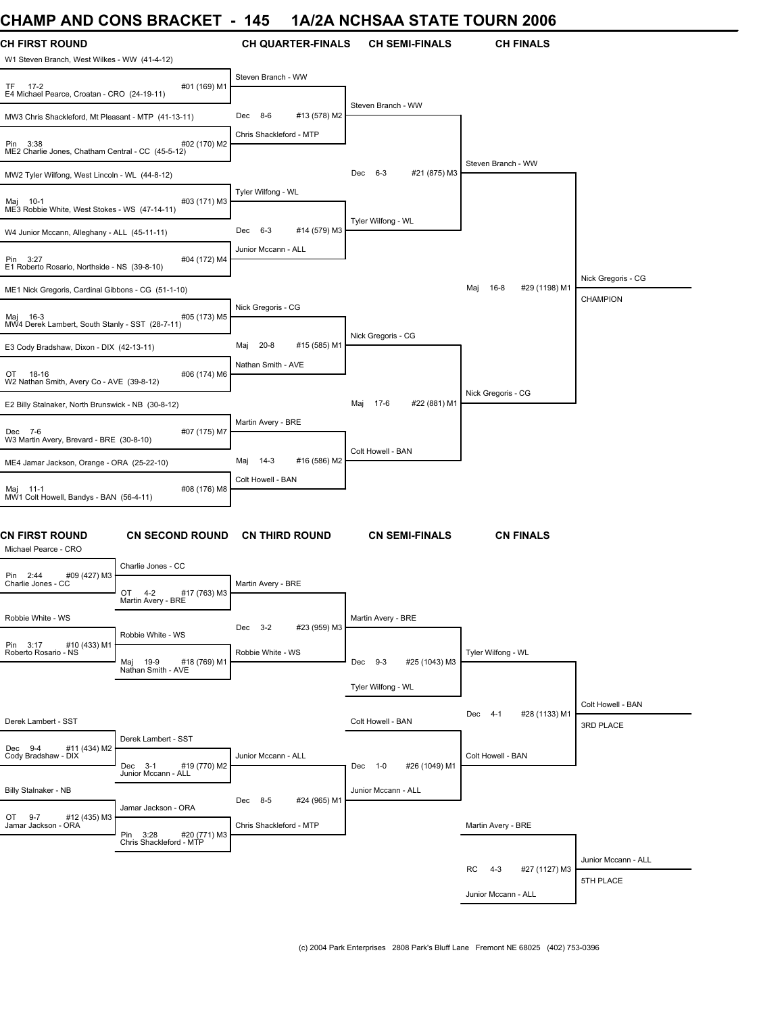# **CHAMP AND CONS BRACKET - 145 1A/2A NCHSAA STATE TOURN 2006**

| <b>CH FIRST ROUND</b><br>W1 Steven Branch, West Wilkes - WW (41-4-12) |                                                     | <b>CH QUARTER-FINALS</b>                           | <b>CH SEMI-FINALS</b>       | <b>CH FINALS</b>               |                                  |
|-----------------------------------------------------------------------|-----------------------------------------------------|----------------------------------------------------|-----------------------------|--------------------------------|----------------------------------|
| TF.<br>$17-2$                                                         | #01 (169) M1                                        | Steven Branch - WW                                 |                             |                                |                                  |
| E4 Michael Pearce, Croatan - CRO (24-19-11)                           |                                                     |                                                    | Steven Branch - WW          |                                |                                  |
| MW3 Chris Shackleford, Mt Pleasant - MTP (41-13-11)                   |                                                     | #13 (578) M2<br>Dec 8-6<br>Chris Shackleford - MTP |                             |                                |                                  |
| Pin 3:38<br>ME2 Charlie Jones, Chatham Central - CC (45-5-12)         | #02 (170) M2                                        |                                                    |                             |                                |                                  |
| MW2 Tyler Wilfong, West Lincoln - WL (44-8-12)                        |                                                     |                                                    | Dec 6-3<br>#21 (875) M3     | Steven Branch - WW             |                                  |
| Maj 10-1<br>ME3 Robbie White, West Stokes - WS (47-14-11)             | #03 (171) M3                                        | Tyler Wilfong - WL                                 |                             |                                |                                  |
| W4 Junior Mccann, Alleghany - ALL (45-11-11)                          |                                                     | Dec<br>$6 - 3$<br>#14 (579) M3                     | Tyler Wilfong - WL          |                                |                                  |
| Pin 3:27<br>E1 Roberto Rosario, Northside - NS (39-8-10)              | #04 (172) M4                                        | Junior Mccann - ALL                                |                             |                                |                                  |
| ME1 Nick Gregoris, Cardinal Gibbons - CG (51-1-10)                    |                                                     |                                                    |                             | Maj 16-8<br>#29 (1198) M1      | Nick Gregoris - CG<br>CHAMPION   |
| Maj 16-3<br>MW4 Derek Lambert, South Stanly - SST (28-7-11)           | #05 (173) M5                                        | Nick Gregoris - CG                                 |                             |                                |                                  |
| E3 Cody Bradshaw, Dixon - DIX (42-13-11)                              |                                                     | #15 (585) M1<br>20-8<br>Maj                        | Nick Gregoris - CG          |                                |                                  |
| OT 18-16<br>W2 Nathan Smith, Avery Co - AVE (39-8-12)                 | #06 (174) M6                                        | Nathan Smith - AVE                                 |                             |                                |                                  |
| E2 Billy Stalnaker, North Brunswick - NB (30-8-12)                    |                                                     |                                                    | 17-6<br>#22 (881) M1<br>Maj | Nick Gregoris - CG             |                                  |
| Dec 7-6<br>W3 Martin Avery, Brevard - BRE (30-8-10)                   | #07 (175) M7                                        | Martin Avery - BRE                                 |                             |                                |                                  |
| ME4 Jamar Jackson, Orange - ORA (25-22-10)                            |                                                     | 14-3<br>#16 (586) M2<br>Maj                        | Colt Howell - BAN           |                                |                                  |
| Maj 11-1<br>MW1 Colt Howell, Bandys - BAN (56-4-11)                   | #08 (176) M8                                        | Colt Howell - BAN                                  |                             |                                |                                  |
| <b>CN FIRST ROUND</b><br>Michael Pearce - CRO                         | <b>CN SECOND ROUND</b>                              | <b>CN THIRD ROUND</b>                              | <b>CN SEMI-FINALS</b>       | <b>CN FINALS</b>               |                                  |
| Pin 2:44<br>#09 (427) M3                                              | Charlie Jones - CC                                  |                                                    |                             |                                |                                  |
| Charlie Jones - CC                                                    | $4 - 2$<br>#17 (763) M3<br>OT<br>Martin Avery - BRE | Martin Avery - BRE                                 |                             |                                |                                  |
| Robbie White - WS                                                     |                                                     | Dec 3-2<br>#23 (959) M3                            | Martin Avery - BRE          |                                |                                  |
| Pin 3:17<br>#10 (433) M1<br>Roberto Rosario - NS                      | Robbie White - WS<br>19-9<br>#18 (769) M1<br>Maj    | Robbie White - WS                                  | Dec 9-3<br>#25 (1043) M3    | Tyler Wilfong - WL             |                                  |
|                                                                       | Nathan Smith - AVE                                  |                                                    | Tyler Wilfong - WL          |                                |                                  |
|                                                                       |                                                     |                                                    |                             | Dec 4-1<br>#28 (1133) M1       | Colt Howell - BAN                |
| Derek Lambert - SST                                                   | Derek Lambert - SST                                 |                                                    | Colt Howell - BAN           |                                | 3RD PLACE                        |
| Dec 9-4<br>#11 (434) M2<br>Cody Bradshaw - DIX                        | Dec 3-1<br>#19 (770) M2<br>Junior Mccann - ALL      | Junior Mccann - ALL                                | #26 (1049) M1<br>Dec 1-0    | Colt Howell - BAN              |                                  |
| Billy Stalnaker - NB                                                  |                                                     | Dec 8-5<br>#24 (965) M1                            | Junior Mccann - ALL         |                                |                                  |
| OT 9-7<br>#12 (435) M3<br>Jamar Jackson - ORA                         | Jamar Jackson - ORA                                 | Chris Shackleford - MTP                            |                             | Martin Avery - BRE             |                                  |
|                                                                       | Pin 3:28<br>#20 (771) M3<br>Chris Shackleford - MTP |                                                    |                             |                                |                                  |
|                                                                       |                                                     |                                                    |                             | RC<br>$4 - 3$<br>#27 (1127) M3 | Junior Mccann - ALL<br>5TH PLACE |
|                                                                       |                                                     |                                                    |                             | Junior Mccann - ALL            |                                  |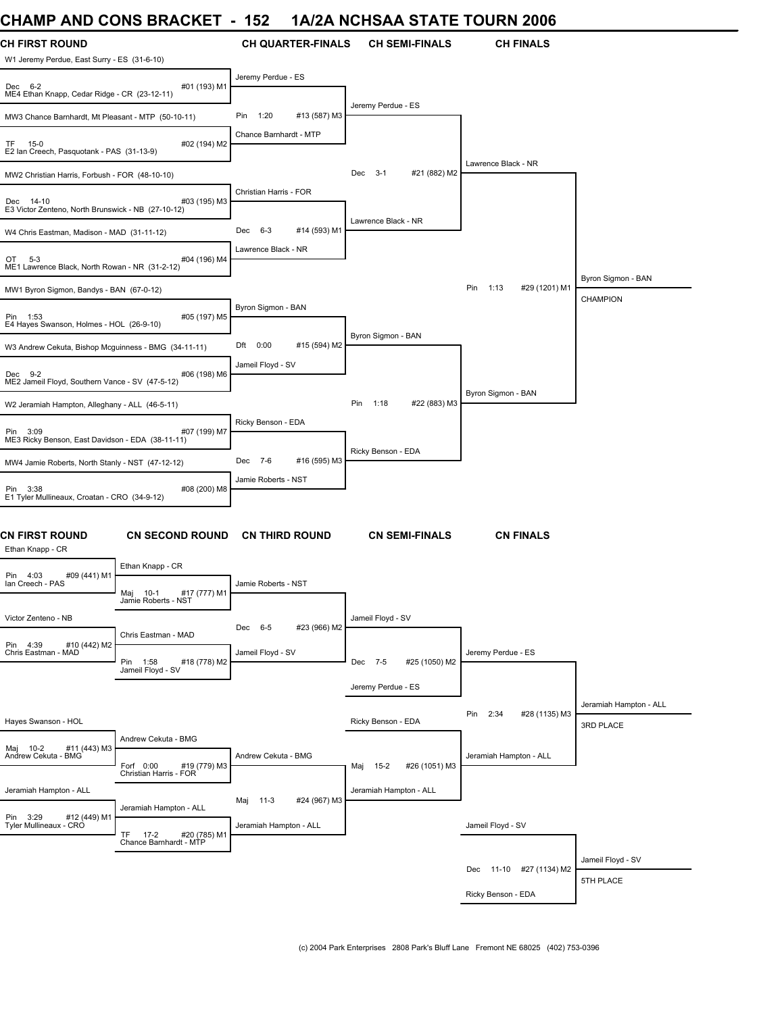### **CHAMP AND CONS BRACKET - 152 1A/2A NCHSAA STATE TOURN 2006**

| UNAIVIL AND UUNJ DRAUNE I                                            |                                                               | 1 J 4                                   |                          |                        |                       | IAIZA NUNSAA STATE TUURN ZUU0 |                                     |
|----------------------------------------------------------------------|---------------------------------------------------------------|-----------------------------------------|--------------------------|------------------------|-----------------------|-------------------------------|-------------------------------------|
| <b>CH FIRST ROUND</b><br>W1 Jeremy Perdue, East Surry - ES (31-6-10) |                                                               |                                         | <b>CH QUARTER-FINALS</b> |                        | <b>CH SEMI-FINALS</b> | <b>CH FINALS</b>              |                                     |
| Dec 6-2<br>ME4 Ethan Knapp, Cedar Ridge - CR (23-12-11)              | #01 (193) M1                                                  | Jeremy Perdue - ES                      |                          |                        |                       |                               |                                     |
| MW3 Chance Barnhardt, Mt Pleasant - MTP (50-10-11)                   |                                                               | 1:20<br>Pin                             | #13 (587) M3             | Jeremy Perdue - ES     |                       |                               |                                     |
| TF.<br>15-0<br>E2 Ian Creech, Pasquotank - PAS (31-13-9)             | #02 (194) M2                                                  | Chance Barnhardt - MTP                  |                          |                        |                       |                               |                                     |
| MW2 Christian Harris, Forbush - FOR (48-10-10)                       |                                                               |                                         |                          | $3-1$<br>Dec           | #21 (882) M2          | Lawrence Black - NR           |                                     |
| Dec 14-10<br>E3 Victor Zenteno, North Brunswick - NB (27-10-12)      | #03 (195) M3                                                  | Christian Harris - FOR                  |                          |                        |                       |                               |                                     |
| W4 Chris Eastman, Madison - MAD (31-11-12)                           |                                                               | Dec 6-3                                 | #14 (593) M1             | Lawrence Black - NR    |                       |                               |                                     |
| OT 5-3<br>ME1 Lawrence Black, North Rowan - NR (31-2-12)             | #04 (196) M4                                                  | Lawrence Black - NR                     |                          |                        |                       |                               |                                     |
| MW1 Byron Sigmon, Bandys - BAN (67-0-12)                             |                                                               |                                         |                          |                        |                       | #29 (1201) M1<br>Pin<br>1:13  | Byron Sigmon - BAN<br>CHAMPION      |
| Pin 1:53<br>E4 Hayes Swanson, Holmes - HOL (26-9-10)                 | #05 (197) M5                                                  | Byron Sigmon - BAN                      |                          |                        |                       |                               |                                     |
| W3 Andrew Cekuta, Bishop Mcquinness - BMG (34-11-11)                 |                                                               | 0:00<br>Dft                             | #15 (594) M2             | Byron Sigmon - BAN     |                       |                               |                                     |
| Dec 9-2<br>ME2 Jameil Floyd, Southern Vance - SV (47-5-12)           | #06 (198) M6                                                  | Jameil Floyd - SV                       |                          |                        |                       |                               |                                     |
| W2 Jeramiah Hampton, Alleghany - ALL (46-5-11)                       |                                                               |                                         |                          | Pin<br>1:18            | #22 (883) M3          | Byron Sigmon - BAN            |                                     |
| Pin 3:09<br>ME3 Ricky Benson, East Davidson - EDA (38-11-11)         | #07 (199) M7                                                  | Ricky Benson - EDA                      |                          | Ricky Benson - EDA     |                       |                               |                                     |
| MW4 Jamie Roberts, North Stanly - NST (47-12-12)                     |                                                               | Dec 7-6                                 | #16 (595) M3             |                        |                       |                               |                                     |
| Pin 3:38<br>E1 Tyler Mullineaux, Croatan - CRO (34-9-12)             | #08 (200) M8                                                  | Jamie Roberts - NST                     |                          |                        |                       |                               |                                     |
| <b>CN FIRST ROUND</b><br>Ethan Knapp - CR                            | <b>CN SECOND ROUND</b>                                        |                                         | <b>CN THIRD ROUND</b>    |                        | <b>CN SEMI-FINALS</b> | <b>CN FINALS</b>              |                                     |
| Pin 4:03<br>#09 (441) M1                                             | Ethan Knapp - CR                                              |                                         |                          |                        |                       |                               |                                     |
| Ian Creech - PAS                                                     | Maj 10-1<br>#17 (777) M1<br>Jamie Roberts - NST               | Jamie Roberts - NST                     |                          |                        |                       |                               |                                     |
| Victor Zenteno - NB                                                  | Chris Eastman - MAD                                           | Dec 6-5                                 | #23 (966) M2             | Jameil Floyd - SV      |                       |                               |                                     |
| Pin 4:39<br>#10 (442) M2<br>Chris Eastman - MAD                      | Pin 1:58<br>#18 (778) M2<br>Jameil Floyd - SV                 | Jameil Floyd - SV                       |                          | Dec 7-5                | #25 (1050) M2         | Jeremy Perdue - ES            |                                     |
|                                                                      |                                                               |                                         |                          | Jeremy Perdue - ES     |                       |                               |                                     |
| Hayes Swanson - HOL                                                  |                                                               |                                         |                          | Ricky Benson - EDA     |                       | 2:34<br>#28 (1135) M3<br>Pin  | Jeramiah Hampton - ALL<br>3RD PLACE |
| #11 (443) M3<br>Maj 10-2<br>Andrew Cekuta - BMG                      | Andrew Cekuta - BMG<br>Forf 0:00<br>#19 (779) M3              | Andrew Cekuta - BMG                     |                          | Maj 15-2               | #26 (1051) M3         | Jeramiah Hampton - ALL        |                                     |
| Jeramiah Hampton - ALL                                               | Christian Harris - FOR                                        |                                         |                          | Jeramiah Hampton - ALL |                       |                               |                                     |
| Pin 3:29<br>#12 (449) M1<br>Tyler Mullineaux - CRO                   | Jeramiah Hampton - ALL                                        | $11-3$<br>Maj<br>Jeramiah Hampton - ALL | #24 (967) M3             |                        |                       | Jameil Floyd - SV             |                                     |
|                                                                      | <b>TF</b><br>$17-2$<br>#20 (785) M1<br>Chance Barnhardt - MTP |                                         |                          |                        |                       |                               |                                     |
|                                                                      |                                                               |                                         |                          |                        |                       | Dec 11-10 #27 (1134) M2       | Jameil Floyd - SV                   |
|                                                                      |                                                               |                                         |                          |                        |                       | Ricky Benson - EDA            | 5TH PLACE                           |
|                                                                      |                                                               |                                         |                          |                        |                       |                               |                                     |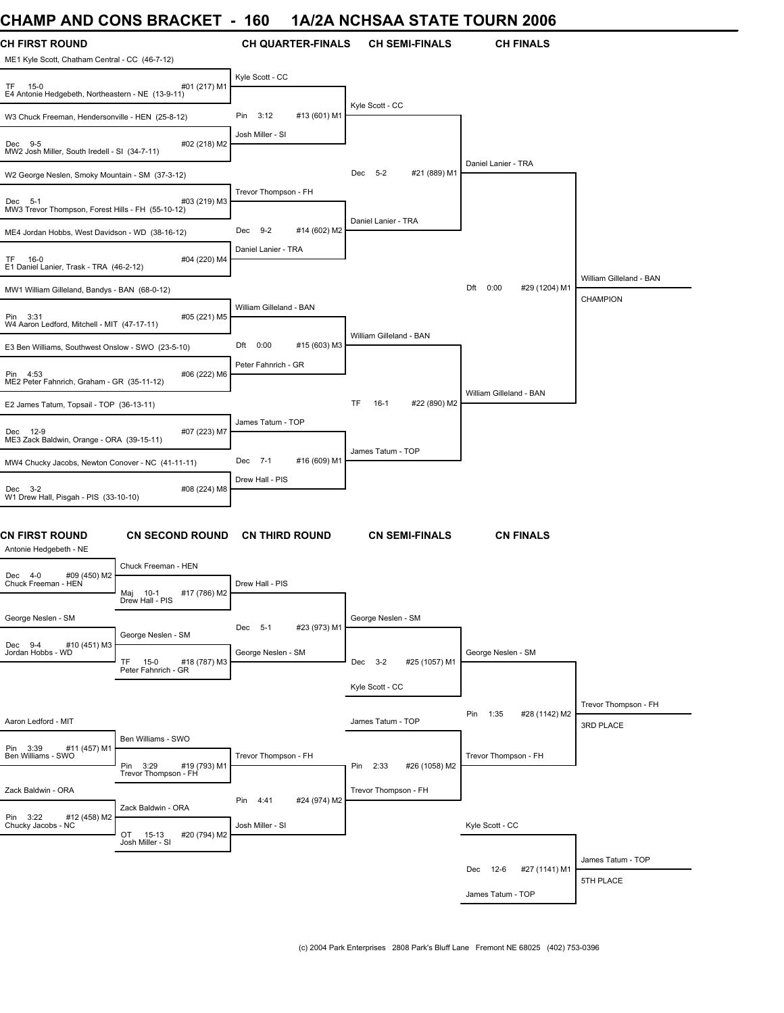### **CHAMP AND CONS BRACKET - 160 1A/2A NCHSAA STATE TOURN 2006**

| <b>CH FIRST ROUND</b><br>ME1 Kyle Scott, Chatham Central - CC (46-7-12) |                                                | <b>CH QUARTER-FINALS</b>     | <b>CH SEMI-FINALS</b>         | <b>CH FINALS</b>             |                                          |
|-------------------------------------------------------------------------|------------------------------------------------|------------------------------|-------------------------------|------------------------------|------------------------------------------|
| $15-0$<br>E4 Antonie Hedgebeth, Northeastern - NE (13-9-11)             | #01 (217) M1                                   | Kyle Scott - CC              |                               |                              |                                          |
| W3 Chuck Freeman, Hendersonville - HEN (25-8-12)                        |                                                | #13 (601) M1<br>Pin<br>3:12  | Kyle Scott - CC               |                              |                                          |
| Dec 9-5<br>MW2 Josh Miller, South Iredell - SI (34-7-11)                | #02 (218) M2                                   | Josh Miller - SI             |                               |                              |                                          |
| W2 George Neslen, Smoky Mountain - SM (37-3-12)                         |                                                |                              | Dec 5-2<br>#21 (889) M1       | Daniel Lanier - TRA          |                                          |
| Dec 5-1<br>MW3 Trevor Thompson, Forest Hills - FH (55-10-12)            | #03 (219) M3                                   | Trevor Thompson - FH         |                               |                              |                                          |
| ME4 Jordan Hobbs, West Davidson - WD (38-16-12)                         |                                                | Dec<br>$9-2$<br>#14 (602) M2 | Daniel Lanier - TRA           |                              |                                          |
| TF 16-0<br>E1 Daniel Lanier, Trask - TRA (46-2-12)                      | #04 (220) M4                                   | Daniel Lanier - TRA          |                               |                              |                                          |
| MW1 William Gilleland, Bandys - BAN (68-0-12)                           |                                                |                              |                               | Dft<br>0:00<br>#29 (1204) M1 | William Gilleland - BAN                  |
| Pin 3:31<br>W4 Aaron Ledford, Mitchell - MIT (47-17-11)                 | #05 (221) M5                                   | William Gilleland - BAN      |                               |                              | CHAMPION                                 |
| E3 Ben Williams, Southwest Onslow - SWO (23-5-10)                       |                                                | #15 (603) M3<br>Dft<br>0:00  | William Gilleland - BAN       |                              |                                          |
| Pin 4:53<br>ME2 Peter Fahnrich, Graham - GR (35-11-12)                  | #06 (222) M6                                   | Peter Fahnrich - GR          |                               |                              |                                          |
| E2 James Tatum, Topsail - TOP (36-13-11)                                |                                                |                              | TF.<br>$16-1$<br>#22 (890) M2 | William Gilleland - BAN      |                                          |
| Dec 12-9<br>ME3 Zack Baldwin, Orange - ORA (39-15-11)                   | #07 (223) M7                                   | James Tatum - TOP            |                               |                              |                                          |
| MW4 Chucky Jacobs, Newton Conover - NC (41-11-11)                       |                                                | #16 (609) M1<br>Dec 7-1      | James Tatum - TOP             |                              |                                          |
| Dec 3-2<br>W1 Drew Hall, Pisgah - PIS (33-10-10)                        | #08 (224) M8                                   | Drew Hall - PIS              |                               |                              |                                          |
| CN FIRST ROUND<br>Antonie Hedgebeth - NE                                | <b>CN SECOND ROUND</b>                         | <b>CN THIRD ROUND</b>        | <b>CN SEMI-FINALS</b>         | <b>CN FINALS</b>             |                                          |
| #09 (450) M2<br>4-0<br>Dec                                              | Chuck Freeman - HEN                            |                              |                               |                              |                                          |
| Chuck Freeman - HEN<br>Maj 10-1                                         | #17 (786) M2<br>Drew Hall - PIS                | Drew Hall - PIS              |                               |                              |                                          |
| George Neslen - SM                                                      | George Neslen - SM                             | #23 (973) M1<br>Dec 5-1      | George Neslen - SM            |                              |                                          |
| #10 (451) M3<br>Dec 9-4<br>Jordan Hobbs - WD<br>TF                      | #18 (787) M3<br>$15-0$<br>Peter Fahnrich - GR  | George Neslen - SM           | Dec 3-2<br>#25 (1057) M1      | George Neslen - SM           |                                          |
|                                                                         |                                                |                              | Kyle Scott - CC               |                              |                                          |
| Aaron Ledford - MIT                                                     |                                                |                              | James Tatum - TOP             | Pin<br>1:35<br>#28 (1142) M2 | Trevor Thompson - FH<br><b>3RD PLACE</b> |
| Pin 3:39<br>#11 (457) M1                                                | Ben Williams - SWO                             |                              |                               |                              |                                          |
| Ben Williams - SWO<br>Pin 3:29                                          | #19 (793) M1<br>Trevor Thompson - FH           | Trevor Thompson - FH         | #26 (1058) M2<br>Pin 2:33     | Trevor Thompson - FH         |                                          |
| Zack Baldwin - ORA                                                      |                                                | #24 (974) M2<br>Pin<br>4:41  | Trevor Thompson - FH          |                              |                                          |
| Pin 3:22<br>#12 (458) M2<br>Chucky Jacobs - NC                          | Zack Baldwin - ORA<br>OT 15-13<br>#20 (794) M2 | Josh Miller - SI             |                               | Kyle Scott - CC              |                                          |
|                                                                         | Josh Miller - SI                               |                              |                               |                              | James Tatum - TOP                        |
|                                                                         |                                                |                              |                               | Dec 12-6<br>#27 (1141) M1    | 5TH PLACE                                |
|                                                                         |                                                |                              |                               | James Tatum - TOP            |                                          |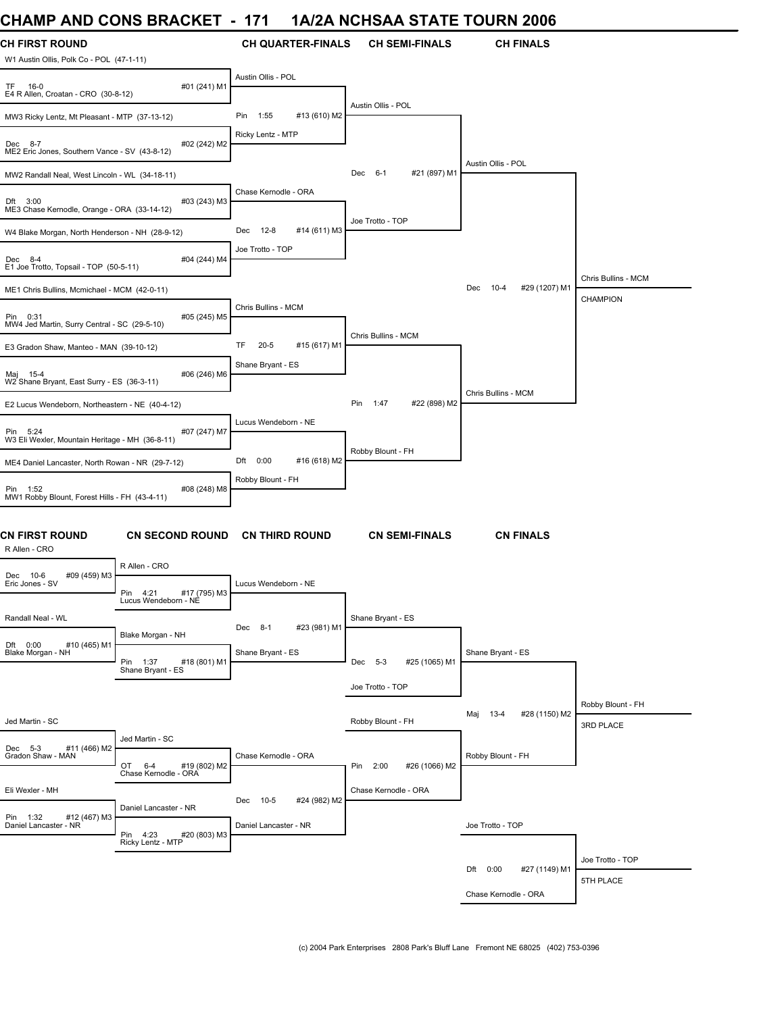### **CHAMP AND CONS BRACKET - 171 1A/2A NCHSAA STATE TOURN 2006**

| CHAIWF AND CONS DRACKET - TH                                      |                                                                    |                       |                          | IA/ZA NUNSAA STATE TUURN 2006 |                                  |                                 |
|-------------------------------------------------------------------|--------------------------------------------------------------------|-----------------------|--------------------------|-------------------------------|----------------------------------|---------------------------------|
| <b>CH FIRST ROUND</b><br>W1 Austin Ollis, Polk Co - POL (47-1-11) |                                                                    |                       | <b>CH QUARTER-FINALS</b> | <b>CH SEMI-FINALS</b>         | <b>CH FINALS</b>                 |                                 |
| TF 16-0<br>E4 R Allen, Croatan - CRO (30-8-12)                    | #01 (241) M1                                                       | Austin Ollis - POL    |                          |                               |                                  |                                 |
| MW3 Ricky Lentz, Mt Pleasant - MTP (37-13-12)                     |                                                                    | 1:55<br>Pin           | #13 (610) M2             | Austin Ollis - POL            |                                  |                                 |
| Dec 8-7<br>ME2 Eric Jones, Southern Vance - SV (43-8-12)          | #02 (242) M2                                                       | Ricky Lentz - MTP     |                          |                               |                                  |                                 |
| MW2 Randall Neal, West Lincoln - WL (34-18-11)                    |                                                                    |                       |                          | #21 (897) M1<br>Dec 6-1       | Austin Ollis - POL               |                                 |
| Dft 3:00<br>ME3 Chase Kernodle, Orange - ORA (33-14-12)           | #03 (243) M3                                                       | Chase Kernodle - ORA  |                          |                               |                                  |                                 |
| W4 Blake Morgan, North Henderson - NH (28-9-12)                   |                                                                    | Dec 12-8              | #14 (611) M3             | Joe Trotto - TOP              |                                  |                                 |
| Dec 8-4<br>E1 Joe Trotto, Topsail - TOP (50-5-11)                 | #04 (244) M4                                                       | Joe Trotto - TOP      |                          |                               |                                  |                                 |
| ME1 Chris Bullins, Mcmichael - MCM (42-0-11)                      |                                                                    |                       |                          |                               | 10-4<br>#29 (1207) M1<br>Dec     | Chris Bullins - MCM<br>CHAMPION |
| Pin 0:31<br>MW4 Jed Martin, Surry Central - SC (29-5-10)          | #05 (245) M5                                                       | Chris Bullins - MCM   |                          |                               |                                  |                                 |
| E3 Gradon Shaw, Manteo - MAN (39-10-12)                           |                                                                    | TF<br>$20 - 5$        | #15 (617) M1             | Chris Bullins - MCM           |                                  |                                 |
| Maj 15-4<br>W2 Shane Bryant, East Surry - ES (36-3-11)            | #06 (246) M6                                                       | Shane Bryant - ES     |                          |                               |                                  |                                 |
| E2 Lucus Wendeborn, Northeastern - NE (40-4-12)                   |                                                                    |                       |                          | #22 (898) M2<br>1:47<br>Pin   | Chris Bullins - MCM              |                                 |
| Pin 5:24<br>W3 Eli Wexler, Mountain Heritage - MH (36-8-11)       | #07 (247) M7                                                       | Lucus Wendeborn - NE  |                          |                               |                                  |                                 |
| ME4 Daniel Lancaster, North Rowan - NR (29-7-12)                  |                                                                    | Dft 0:00              | #16 (618) M2             | Robby Blount - FH             |                                  |                                 |
| Pin 1:52<br>MW1 Robby Blount, Forest Hills - FH (43-4-11)         | #08 (248) M8                                                       | Robby Blount - FH     |                          |                               |                                  |                                 |
| <b>CN FIRST ROUND</b><br>R Allen - CRO                            | <b>CN SECOND ROUND</b>                                             | <b>CN THIRD ROUND</b> |                          | <b>CN SEMI-FINALS</b>         | <b>CN FINALS</b>                 |                                 |
| Dec 10-6<br>#09 (459) M3<br>Eric Jones - SV                       | R Allen - CRO<br>Pin 4:21<br>#17 (795) M3                          | Lucus Wendeborn - NE  |                          |                               |                                  |                                 |
| Randall Neal - WL                                                 | Lucus Wendeborn - NE                                               | Dec 8-1               | #23 (981) M1             | Shane Bryant - ES             |                                  |                                 |
| Dft 0:00<br>#10 (465) M1<br>Blake Morgan - NH                     | Blake Morgan - NH<br>Pin 1:37<br>#18 (801) M1<br>Shane Bryant - ES | Shane Bryant - ES     |                          | Dec 5-3<br>#25 (1065) M1      | Shane Bryant - ES                |                                 |
|                                                                   |                                                                    |                       |                          | Joe Trotto - TOP              |                                  |                                 |
| Jed Martin - SC                                                   |                                                                    |                       |                          | Robby Blount - FH             | #28 (1150) M2<br>$13 - 4$<br>Maj | Robby Blount - FH<br>3RD PLACE  |
| Dec 5-3<br>#11 (466) M2                                           | Jed Martin - SC                                                    |                       |                          |                               |                                  |                                 |
| Gradon Shaw - MAN                                                 | OT<br>#19 (802) M2<br>6-4<br>Chase Kernodle - ORA                  | Chase Kernodle - ORA  |                          | #26 (1066) M2<br>Pin 2:00     | Robby Blount - FH                |                                 |
| Eli Wexler - MH                                                   |                                                                    | $10-5$<br>Dec         | #24 (982) M2             | Chase Kernodle - ORA          |                                  |                                 |
| Pin 1:32 #12<br>#12 (467) M3                                      | Daniel Lancaster - NR<br>Pin 4:23<br>#20 (803) M3                  | Daniel Lancaster - NR |                          |                               | Joe Trotto - TOP                 |                                 |
|                                                                   | Ricky Lentz - MTP                                                  |                       |                          |                               |                                  | Joe Trotto - TOP                |
|                                                                   |                                                                    |                       |                          |                               | Dft 0:00<br>#27 (1149) M1        | 5TH PLACE                       |
|                                                                   |                                                                    |                       |                          |                               | Chase Kernodle - ORA             |                                 |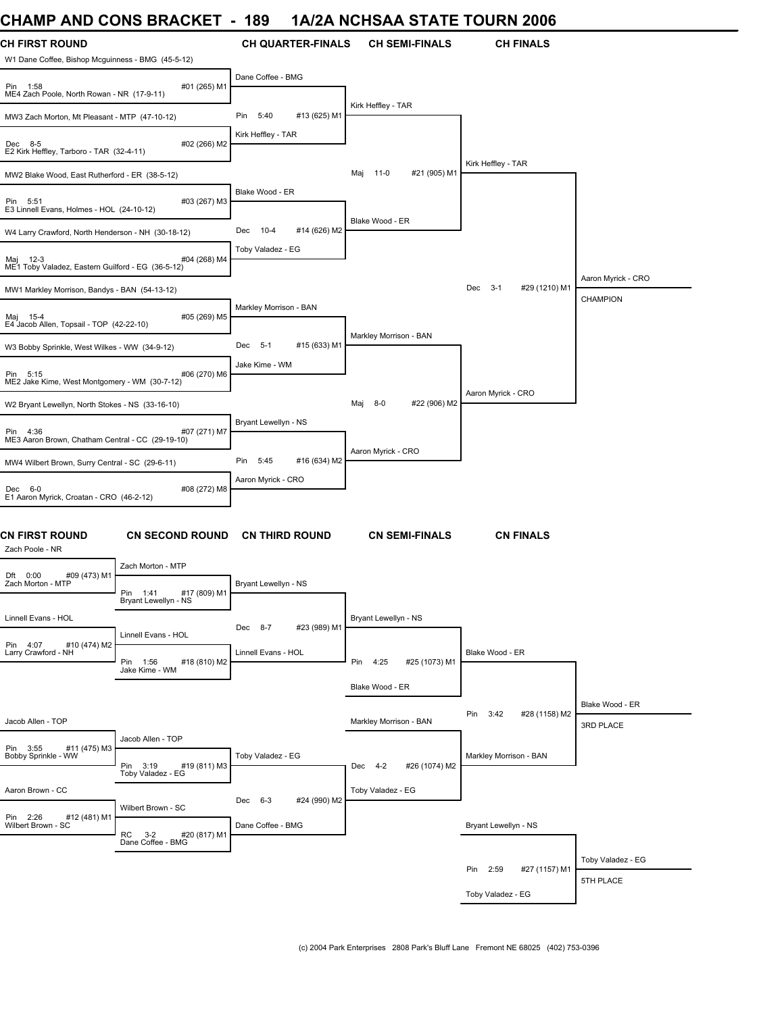# **CHAMP AND CONS BRACKET - 189 1A/2A NCHSAA STATE TOURN 2006**

| <b>CH FIRST ROUND</b><br>W1 Dane Coffee, Bishop Mcguinness - BMG (45-5-12) |                                                                   | <b>CH QUARTER-FINALS</b>    | <b>CH SEMI-FINALS</b>      | <b>CH FINALS</b>             |                              |
|----------------------------------------------------------------------------|-------------------------------------------------------------------|-----------------------------|----------------------------|------------------------------|------------------------------|
| Pin 1:58<br>ME4 Zach Poole, North Rowan - NR (17-9-11)                     | #01 (265) M1                                                      | Dane Coffee - BMG           |                            |                              |                              |
| MW3 Zach Morton, Mt Pleasant - MTP (47-10-12)                              |                                                                   | #13 (625) M1<br>Pin<br>5:40 | Kirk Heffley - TAR         |                              |                              |
| Dec 8-5<br>E2 Kirk Heffley, Tarboro - TAR (32-4-11)                        | #02 (266) M2                                                      | Kirk Heffley - TAR          |                            |                              |                              |
| MW2 Blake Wood, East Rutherford - ER (38-5-12)                             |                                                                   |                             | Maj 11-0<br>#21 (905) M1   | Kirk Heffley - TAR           |                              |
| Pin 5:51<br>E3 Linnell Evans, Holmes - HOL (24-10-12)                      | #03 (267) M3                                                      | Blake Wood - ER             |                            |                              |                              |
| W4 Larry Crawford, North Henderson - NH (30-18-12)                         |                                                                   | Dec<br>10-4<br>#14 (626) M2 | Blake Wood - ER            |                              |                              |
| #<br>ME1 Toby Valadez, Eastern Guilford - EG (36-5-12)                     | #04 (268) M4                                                      | Toby Valadez - EG           |                            |                              |                              |
| MW1 Markley Morrison, Bandys - BAN (54-13-12)                              |                                                                   |                             |                            | Dec 3-1<br>#29 (1210) M1     | Aaron Myrick - CRO           |
| Maj 15-4<br>E4 Jacob Allen, Topsail - TOP (42-22-10)                       | #05 (269) M5                                                      | Markley Morrison - BAN      |                            |                              | CHAMPION                     |
| W3 Bobby Sprinkle, West Wilkes - WW (34-9-12)                              |                                                                   | #15 (633) M1<br>Dec 5-1     | Markley Morrison - BAN     |                              |                              |
| Pin 5:15<br>ME2 Jake Kime, West Montgomery - WM (30-7-12)                  | #06 (270) M6                                                      | Jake Kime - WM              |                            |                              |                              |
| W2 Bryant Lewellyn, North Stokes - NS (33-16-10)                           |                                                                   |                             | #22 (906) M2<br>8-0<br>Мај | Aaron Myrick - CRO           |                              |
| Pin 4:36<br>ME3 Aaron Brown, Chatham Central - CC (29-19-10)               | #07 (271) M7                                                      | Bryant Lewellyn - NS        |                            |                              |                              |
| MW4 Wilbert Brown, Surry Central - SC (29-6-11)                            |                                                                   | 5:45<br>#16 (634) M2<br>Pin | Aaron Myrick - CRO         |                              |                              |
| Dec 6-0<br>E1 Aaron Myrick, Croatan - CRO (46-2-12)                        | #08 (272) M8                                                      | Aaron Myrick - CRO          |                            |                              |                              |
| <b>CN FIRST ROUND</b><br>Zach Poole - NR                                   | <b>CN SECOND ROUND</b>                                            | <b>CN THIRD ROUND</b>       | <b>CN SEMI-FINALS</b>      | <b>CN FINALS</b>             |                              |
| #09 (473) M1<br>Dft 0:00                                                   | Zach Morton - MTP                                                 |                             |                            |                              |                              |
| Zach Morton - MTP                                                          | Pin 1:41<br>#17 (809) M1<br>Bryant Lewellyn - NS                  | Bryant Lewellyn - NS        |                            |                              |                              |
| Linnell Evans - HOL                                                        | Linnell Evans - HOL                                               | Dec 8-7<br>#23 (989) M1     | Bryant Lewellyn - NS       |                              |                              |
| Pin 4:07<br>#10 (474) M2<br>Larry Crawford - NH                            | Pin 1:56<br>#18 (810) M2<br>Jake Kime - WM                        | Linnell Evans - HOL         | Pin 4:25<br>#25 (1073) M1  | Blake Wood - ER              |                              |
|                                                                            |                                                                   |                             | Blake Wood - ER            |                              |                              |
| Jacob Allen - TOP                                                          |                                                                   |                             | Markley Morrison - BAN     | #28 (1158) M2<br>Pin<br>3:42 | Blake Wood - ER<br>3RD PLACE |
| Pin 3:55<br>#11 (475) M3                                                   | Jacob Allen - TOP                                                 |                             |                            |                              |                              |
| Bobby Sprinkle - WW                                                        | Pin 3:19<br>#19 (811) M3<br>Toby Valadez - EG                     | Toby Valadez - EG           | Dec 4-2<br>#26 (1074) M2   | Markley Morrison - BAN       |                              |
| Aaron Brown - CC                                                           |                                                                   | Dec 6-3<br>#24 (990) M2     | Toby Valadez - EG          |                              |                              |
| Pin 2:26<br>#12 (481) M1<br>Wilbert Brown - SC                             | Wilbert Brown - SC<br>RC 3-2<br>#20 (817) M1<br>Dane Coffee - BMG | Dane Coffee - BMG           |                            | Bryant Lewellyn - NS         |                              |
|                                                                            |                                                                   |                             |                            |                              | Toby Valadez - EG            |
|                                                                            |                                                                   |                             |                            | Pin 2:59<br>#27 (1157) M1    | 5TH PLACE                    |
|                                                                            |                                                                   |                             |                            | Toby Valadez - EG            |                              |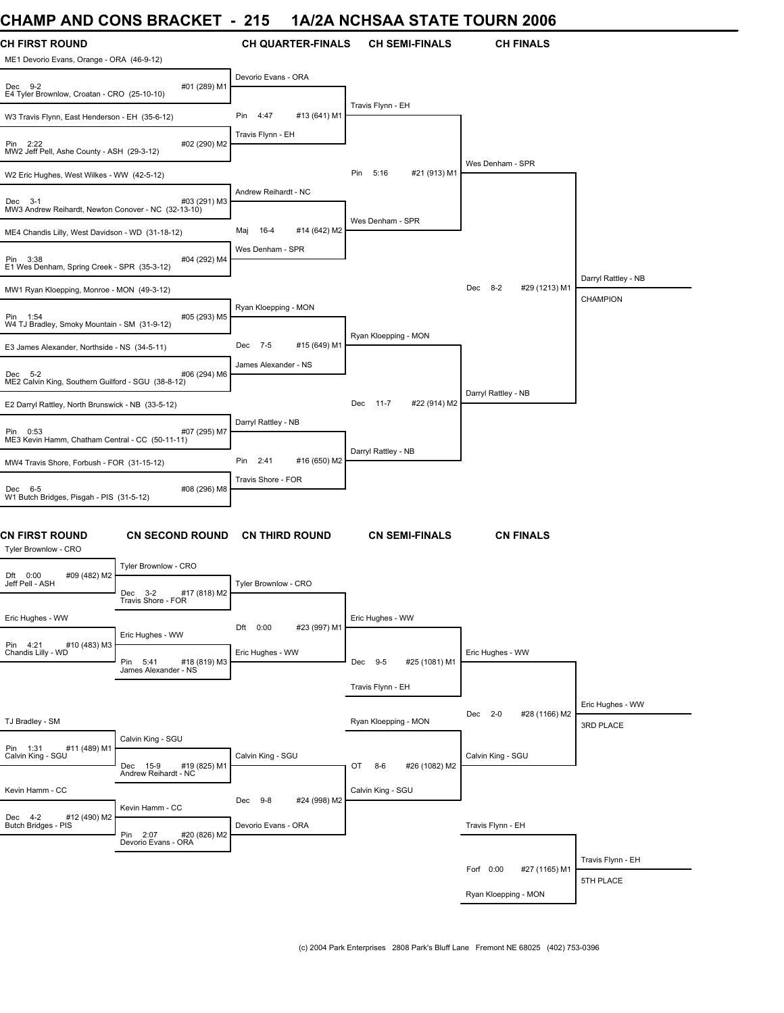### **CHAMP AND CONS BRACKET - 215 1A/2A NCHSAA STATE TOURN 2006**

| UNAIVIM AINU UUNJ DRAUNET                                                      |                                                   | - 219                                          | IA/ZA NUNSAA STATE TUURN 2000   |                                 |                                        |
|--------------------------------------------------------------------------------|---------------------------------------------------|------------------------------------------------|---------------------------------|---------------------------------|----------------------------------------|
| <b>CH FIRST ROUND</b><br>ME1 Devorio Evans, Orange - ORA (46-9-12)             |                                                   | <b>CH QUARTER-FINALS</b>                       | <b>CH SEMI-FINALS</b>           | <b>CH FINALS</b>                |                                        |
| #01 (289) M1<br>Dec 9-2<br>E4 Tyler Brownlow, Croatan - CRO (25-10-10)         |                                                   | Devorio Evans - ORA                            |                                 |                                 |                                        |
| W3 Travis Flynn, East Henderson - EH (35-6-12)                                 |                                                   | Pin<br>4:47<br>#13 (641) M1                    | Travis Flynn - EH               |                                 |                                        |
| #02 (290) M2<br>Pin 2:22<br>MW2 Jeff Pell, Ashe County - ASH (29-3-12)         |                                                   | Travis Flynn - EH                              |                                 |                                 |                                        |
| W2 Eric Hughes, West Wilkes - WW (42-5-12)                                     |                                                   |                                                | 5:16<br>#21 (913) M1<br>Pin     | Wes Denham - SPR                |                                        |
| #03 (291) M3<br>Dec 3-1<br>MW3 Andrew Reihardt, Newton Conover - NC (32-13-10) |                                                   | Andrew Reihardt - NC                           |                                 |                                 |                                        |
| ME4 Chandis Lilly, West Davidson - WD (31-18-12)                               |                                                   | 16-4<br>#14 (642) M2<br>Maj                    | Wes Denham - SPR                |                                 |                                        |
| Pin 3:38<br>#04 (292) M4<br>E1 Wes Denham, Spring Creek - SPR (35-3-12)        |                                                   | Wes Denham - SPR                               |                                 |                                 |                                        |
| MW1 Ryan Kloepping, Monroe - MON (49-3-12)                                     |                                                   |                                                |                                 | $8 - 2$<br>#29 (1213) M1<br>Dec | Darryl Rattley - NB<br><b>CHAMPION</b> |
| #05 (293) M5<br>Pin 1:54<br>W4 TJ Bradley, Smoky Mountain - SM (31-9-12)       |                                                   | Ryan Kloepping - MON                           |                                 |                                 |                                        |
| E3 James Alexander, Northside - NS (34-5-11)                                   |                                                   | Dec 7-5<br>#15 (649) M1                        | Ryan Kloepping - MON            |                                 |                                        |
| #06 (294) M6<br>Dec 5-2<br>ME2 Calvin King, Southern Guilford - SGU (38-8-12)  |                                                   | James Alexander - NS                           |                                 |                                 |                                        |
| E2 Darryl Rattley, North Brunswick - NB (33-5-12)                              |                                                   |                                                | $11 - 7$<br>#22 (914) M2<br>Dec | Darryl Rattley - NB             |                                        |
| #07 (295) M7<br>Pin 0:53<br>ME3 Kevin Hamm, Chatham Central - CC (50-11-11)    |                                                   | Darryl Rattley - NB                            |                                 |                                 |                                        |
| MW4 Travis Shore, Forbush - FOR (31-15-12)                                     |                                                   | #16 (650) M2<br>Pin 2:41                       | Darryl Rattley - NB             |                                 |                                        |
| Dec 6-5<br>#08 (296) M8<br>W1 Butch Bridges, Pisgah - PIS (31-5-12)            |                                                   | Travis Shore - FOR                             |                                 |                                 |                                        |
| <b>CN FIRST ROUND</b><br>Tyler Brownlow - CRO                                  | <b>CN SECOND ROUND</b>                            | <b>CN THIRD ROUND</b>                          | <b>CN SEMI-FINALS</b>           | <b>CN FINALS</b>                |                                        |
| #09 (482) M2<br>Dft 0:00<br>Jeff Pell - ASH                                    | Tyler Brownlow - CRO<br>$Dec$ 3-2<br>#17 (818) M2 | Tyler Brownlow - CRO                           |                                 |                                 |                                        |
| Eric Hughes - WW                                                               | Travis Shore - FOR<br>Eric Hughes - WW            | Dft 0:00<br>#23 (997) M1                       | Eric Hughes - WW                |                                 |                                        |
| Pin 4:21 #<br>Chandis Lilly - WD<br>#10 (483) M3                               | Pin 5:41<br>#18 (819) M3<br>James Alexander - NS  | Eric Hughes - WW                               | Dec 9-5<br>#25 (1081) M1        | Eric Hughes - WW                |                                        |
|                                                                                |                                                   |                                                | Travis Flynn - EH               |                                 |                                        |
| TJ Bradley - SM                                                                |                                                   |                                                | Ryan Kloepping - MON            | #28 (1166) M2<br>Dec 2-0        | Eric Hughes - WW<br>3RD PLACE          |
| #11 (489) M1<br>Pin 1:31<br>Calvin King - SGU                                  | Calvin King - SGU<br>Dec 15-9<br>#19 (825) M1     | Calvin King - SGU                              | OT<br>8-6<br>#26 (1082) M2      | Calvin King - SGU               |                                        |
|                                                                                | Andrew Reihardt - NC                              |                                                |                                 |                                 |                                        |
| Kevin Hamm - CC<br>Dec 4-2<br>#12 (490) M2<br>Butch Bridges - PIS              | Kevin Hamm - CC                                   | Dec 9-8<br>#24 (998) M2<br>Devorio Evans - ORA | Calvin King - SGU               |                                 |                                        |
|                                                                                | Pin 2:07<br>#20 (826) M2<br>Devorio Evans - ORA   |                                                |                                 | Travis Flynn - EH               |                                        |
|                                                                                |                                                   |                                                |                                 | Forf 0:00<br>#27 (1165) M1      | Travis Flynn - EH                      |
|                                                                                |                                                   |                                                |                                 |                                 | 5TH PLACE                              |
|                                                                                |                                                   |                                                |                                 | Ryan Kloepping - MON            |                                        |